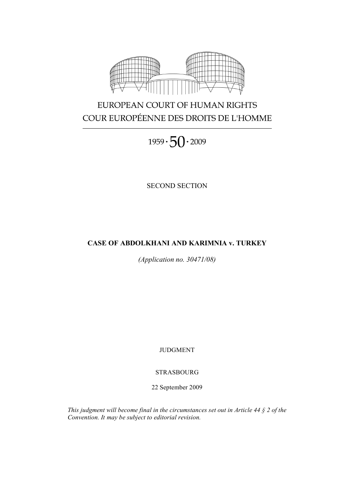

# EUROPEAN COURT OF HUMAN RIGHTS COUR EUROPÉENNE DES DROITS DE L'HOMME

 $1959 \cdot 50 \cdot 2009$ 

SECOND SECTION

# **CASE OF ABDOLKHANI AND KARIMNIA v. TURKEY**

*(Application no. 30471/08)*

JUDGMENT

STRASBOURG

22 September 2009

*This judgment will become final in the circumstances set out in Article 44 § 2 of the Convention. It may be subject to editorial revision.*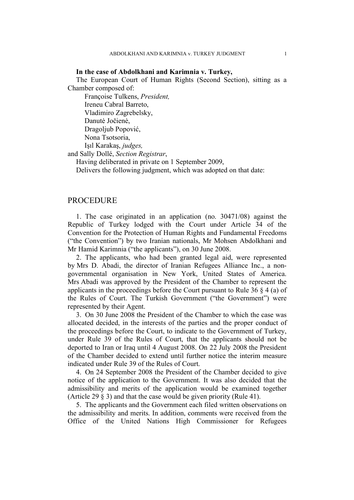### **In the case of Abdolkhani and Karimnia v. Turkey,**

The European Court of Human Rights (Second Section), sitting as a Chamber composed of:

Françoise Tulkens, *President,* Ireneu Cabral Barreto, Vladimiro Zagrebelsky, Danutė Jočienė, Dragoljub Popović, Nona Tsotsoria, Işıl Karakaş, *judges,*

and Sally Dollé, *Section Registrar*,

Having deliberated in private on 1 September 2009,

Delivers the following judgment, which was adopted on that date:

# PROCEDURE

1. The case originated in an application (no. 30471/08) against the Republic of Turkey lodged with the Court under Article 34 of the Convention for the Protection of Human Rights and Fundamental Freedoms ("the Convention") by two Iranian nationals, Mr Mohsen Abdolkhani and Mr Hamid Karimnia ("the applicants"), on 30 June 2008.

2. The applicants, who had been granted legal aid, were represented by Mrs D. Abadi, the director of Iranian Refugees Alliance Inc., a nongovernmental organisation in New York, United States of America. Mrs Abadi was approved by the President of the Chamber to represent the applicants in the proceedings before the Court pursuant to Rule 36  $\frac{1}{2}$  4 (a) of the Rules of Court. The Turkish Government ("the Government") were represented by their Agent.

3. On 30 June 2008 the President of the Chamber to which the case was allocated decided, in the interests of the parties and the proper conduct of the proceedings before the Court, to indicate to the Government of Turkey, under Rule 39 of the Rules of Court, that the applicants should not be deported to Iran or Iraq until 4 August 2008. On 22 July 2008 the President of the Chamber decided to extend until further notice the interim measure indicated under Rule 39 of the Rules of Court.

4. On 24 September 2008 the President of the Chamber decided to give notice of the application to the Government. It was also decided that the admissibility and merits of the application would be examined together (Article 29 § 3) and that the case would be given priority (Rule 41).

5. The applicants and the Government each filed written observations on the admissibility and merits. In addition, comments were received from the Office of the United Nations High Commissioner for Refugees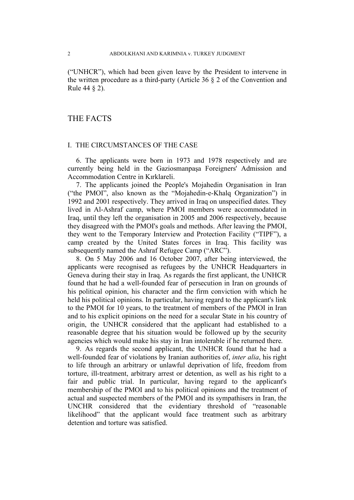("UNHCR"), which had been given leave by the President to intervene in the written procedure as a third-party (Article 36 § 2 of the Convention and Rule 44 § 2).

# THE FACTS

### I. THE CIRCUMSTANCES OF THE CASE

6. The applicants were born in 1973 and 1978 respectively and are currently being held in the Gaziosmanpaşa Foreigners' Admission and Accommodation Centre in Kırklareli.

7. The applicants joined the People's Mojahedin Organisation in Iran ("the PMOI", also known as the "Mojahedin-e-Khalq Organization") in 1992 and 2001 respectively. They arrived in Iraq on unspecified dates. They lived in Al-Ashraf camp, where PMOI members were accommodated in Iraq, until they left the organisation in 2005 and 2006 respectively, because they disagreed with the PMOI's goals and methods. After leaving the PMOI, they went to the Temporary Interview and Protection Facility ("TIPF"), a camp created by the United States forces in Iraq. This facility was subsequently named the Ashraf Refugee Camp ("ARC").

8. On 5 May 2006 and 16 October 2007, after being interviewed, the applicants were recognised as refugees by the UNHCR Headquarters in Geneva during their stay in Iraq. As regards the first applicant, the UNHCR found that he had a well-founded fear of persecution in Iran on grounds of his political opinion, his character and the firm conviction with which he held his political opinions. In particular, having regard to the applicant's link to the PMOI for 10 years, to the treatment of members of the PMOI in Iran and to his explicit opinions on the need for a secular State in his country of origin, the UNHCR considered that the applicant had established to a reasonable degree that his situation would be followed up by the security agencies which would make his stay in Iran intolerable if he returned there.

9. As regards the second applicant, the UNHCR found that he had a well-founded fear of violations by Iranian authorities of, *inter alia*, his right to life through an arbitrary or unlawful deprivation of life, freedom from torture, ill-treatment, arbitrary arrest or detention, as well as his right to a fair and public trial. In particular, having regard to the applicant's membership of the PMOI and to his political opinions and the treatment of actual and suspected members of the PMOI and its sympathisers in Iran, the UNCHR considered that the evidentiary threshold of "reasonable likelihood" that the applicant would face treatment such as arbitrary detention and torture was satisfied.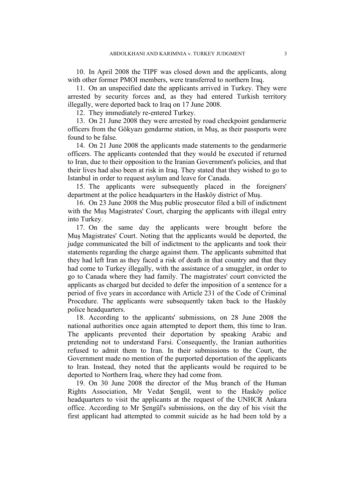10. In April 2008 the TIPF was closed down and the applicants, along with other former PMOI members, were transferred to northern Iraq.

11. On an unspecified date the applicants arrived in Turkey. They were arrested by security forces and, as they had entered Turkish territory illegally, were deported back to Iraq on 17 June 2008.

12. They immediately re-entered Turkey.

13. On 21 June 2008 they were arrested by road checkpoint gendarmerie officers from the Gökyazı gendarme station, in Muş, as their passports were found to be false.

14. On 21 June 2008 the applicants made statements to the gendarmerie officers. The applicants contended that they would be executed if returned to Iran, due to their opposition to the Iranian Government's policies, and that their lives had also been at risk in Iraq. They stated that they wished to go to Istanbul in order to request asylum and leave for Canada.

15. The applicants were subsequently placed in the foreigners' department at the police headquarters in the Hasköy district of Muş.

16. On 23 June 2008 the Muş public prosecutor filed a bill of indictment with the Muş Magistrates' Court, charging the applicants with illegal entry into Turkey.

17. On the same day the applicants were brought before the Muş Magistrates' Court. Noting that the applicants would be deported, the judge communicated the bill of indictment to the applicants and took their statements regarding the charge against them. The applicants submitted that they had left Iran as they faced a risk of death in that country and that they had come to Turkey illegally, with the assistance of a smuggler, in order to go to Canada where they had family. The magistrates' court convicted the applicants as charged but decided to defer the imposition of a sentence for a period of five years in accordance with Article 231 of the Code of Criminal Procedure. The applicants were subsequently taken back to the Hasköy police headquarters.

18. According to the applicants' submissions, on 28 June 2008 the national authorities once again attempted to deport them, this time to Iran. The applicants prevented their deportation by speaking Arabic and pretending not to understand Farsi. Consequently, the Iranian authorities refused to admit them to Iran. In their submissions to the Court, the Government made no mention of the purported deportation of the applicants to Iran. Instead, they noted that the applicants would be required to be deported to Northern Iraq, where they had come from.

19. On 30 June 2008 the director of the Muş branch of the Human Rights Association, Mr Vedat Şengül, went to the Hasköy police headquarters to visit the applicants at the request of the UNHCR Ankara office. According to Mr Şengül's submissions, on the day of his visit the first applicant had attempted to commit suicide as he had been told by a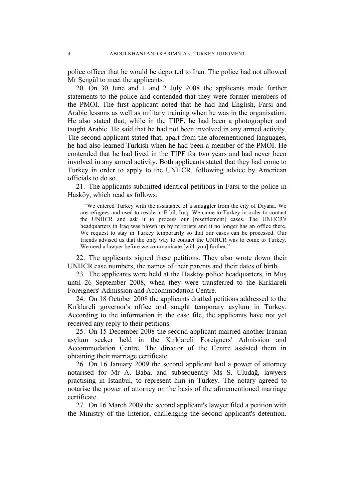police officer that he would be deported to Iran. The police had not allowed Mr Şengül to meet the applicants.

20. On 30 June and 1 and 2 July 2008 the applicants made further statements to the police and contended that they were former members of the PMOI. The first applicant noted that he had had English, Farsi and Arabic lessons as well as military training when he was in the organisation. He also stated that, while in the TIPF, he had been a photographer and taught Arabic. He said that he had not been involved in any armed activity. The second applicant stated that, apart from the aforementioned languages, he had also learned Turkish when he had been a member of the PMOI. He contended that he had lived in the TIPF for two years and had never been involved in any armed activity. Both applicants stated that they had come to Turkey in order to apply to the UNHCR, following advice by American officials to do so.

21. The applicants submitted identical petitions in Farsi to the police in Hasköy, which read as follows:

"We entered Turkey with the assistance of a smuggler from the city of Diyana. We are refugees and used to reside in Erbil, Iraq. We came to Turkey in order to contact the UNHCR and ask it to process our [resettlement] cases. The UNHCR's headquarters in Iraq was blown up by terrorists and it no longer has an office there. We request to stay in Turkey temporarily so that our cases can be processed. Our friends advised us that the only way to contact the UNHCR was to come to Turkey. We need a lawyer before we communicate [with you] further."

22. The applicants signed these petitions. They also wrote down their UNHCR case numbers, the names of their parents and their dates of birth.

23. The applicants were held at the Hasköy police headquarters, in Muş until 26 September 2008, when they were transferred to the Kırklareli Foreigners' Admission and Accommodation Centre.

24. On 18 October 2008 the applicants drafted petitions addressed to the Kırklareli governor's office and sought temporary asylum in Turkey. According to the information in the case file, the applicants have not yet received any reply to their petitions.

25. On 15 December 2008 the second applicant married another Iranian asylum seeker held in the Kırklareli Foreigners' Admission and Accommodation Centre. The director of the Centre assisted them in obtaining their marriage certificate.

26. On 16 January 2009 the second applicant had a power of attorney notarised for Mr A. Baba, and subsequently Ms S. Uludağ, lawyers practising in Istanbul, to represent him in Turkey. The notary agreed to notarise the power of attorney on the basis of the aforementioned marriage certificate.

27. On 16 March 2009 the second applicant's lawyer filed a petition with the Ministry of the Interior, challenging the second applicant's detention.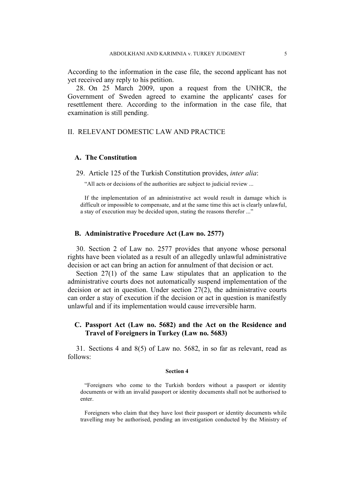According to the information in the case file, the second applicant has not yet received any reply to his petition.

28. On 25 March 2009, upon a request from the UNHCR, the Government of Sweden agreed to examine the applicants' cases for resettlement there. According to the information in the case file, that examination is still pending.

# II. RELEVANT DOMESTIC LAW AND PRACTICE

# **A. The Constitution**

29. Article 125 of the Turkish Constitution provides, *inter alia*:

"All acts or decisions of the authorities are subject to judicial review ...

If the implementation of an administrative act would result in damage which is difficult or impossible to compensate, and at the same time this act is clearly unlawful, a stay of execution may be decided upon, stating the reasons therefor ..."

### **B. Administrative Procedure Act (Law no. 2577)**

30. Section 2 of Law no. 2577 provides that anyone whose personal rights have been violated as a result of an allegedly unlawful administrative decision or act can bring an action for annulment of that decision or act.

Section 27(1) of the same Law stipulates that an application to the administrative courts does not automatically suspend implementation of the decision or act in question. Under section 27(2), the administrative courts can order a stay of execution if the decision or act in question is manifestly unlawful and if its implementation would cause irreversible harm.

# **C. Passport Act (Law no. 5682) and the Act on the Residence and Travel of Foreigners in Turkey (Law no. 5683)**

31. Sections 4 and 8(5) of Law no. 5682, in so far as relevant, read as follows:

#### **Section 4**

"Foreigners who come to the Turkish borders without a passport or identity documents or with an invalid passport or identity documents shall not be authorised to enter.

Foreigners who claim that they have lost their passport or identity documents while travelling may be authorised, pending an investigation conducted by the Ministry of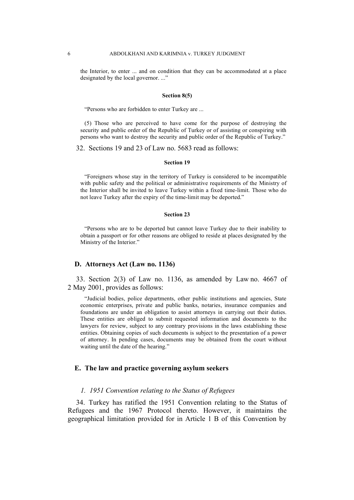the Interior, to enter ... and on condition that they can be accommodated at a place designated by the local governor...."

#### **Section 8(5)**

"Persons who are forbidden to enter Turkey are ...

(5) Those who are perceived to have come for the purpose of destroying the security and public order of the Republic of Turkey or of assisting or conspiring with persons who want to destroy the security and public order of the Republic of Turkey."

32. Sections 19 and 23 of Law no. 5683 read as follows:

#### **Section 19**

"Foreigners whose stay in the territory of Turkey is considered to be incompatible with public safety and the political or administrative requirements of the Ministry of the Interior shall be invited to leave Turkey within a fixed time-limit. Those who do not leave Turkey after the expiry of the time-limit may be deported."

#### **Section 23**

"Persons who are to be deported but cannot leave Turkey due to their inability to obtain a passport or for other reasons are obliged to reside at places designated by the Ministry of the Interior."

# **D. Attorneys Act (Law no. 1136)**

33. Section 2(3) of Law no. 1136, as amended by Law no. 4667 of 2 May 2001, provides as follows:

"Judicial bodies, police departments, other public institutions and agencies, State economic enterprises, private and public banks, notaries, insurance companies and foundations are under an obligation to assist attorneys in carrying out their duties. These entities are obliged to submit requested information and documents to the lawyers for review, subject to any contrary provisions in the laws establishing these entities. Obtaining copies of such documents is subject to the presentation of a power of attorney. In pending cases, documents may be obtained from the court without waiting until the date of the hearing."

# **E. The law and practice governing asylum seekers**

### *1. 1951 Convention relating to the Status of Refugees*

34. Turkey has ratified the 1951 Convention relating to the Status of Refugees and the 1967 Protocol thereto. However, it maintains the geographical limitation provided for in Article 1 B of this Convention by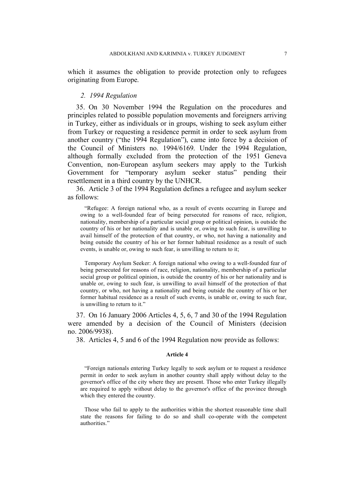which it assumes the obligation to provide protection only to refugees originating from Europe.

### *2. 1994 Regulation*

35. On 30 November 1994 the Regulation on the procedures and principles related to possible population movements and foreigners arriving in Turkey, either as individuals or in groups, wishing to seek asylum either from Turkey or requesting a residence permit in order to seek asylum from another country ("the 1994 Regulation"), came into force by a decision of the Council of Ministers no. 1994/6169. Under the 1994 Regulation, although formally excluded from the protection of the 1951 Geneva Convention, non-European asylum seekers may apply to the Turkish Government for "temporary asylum seeker status" pending their resettlement in a third country by the UNHCR.

36. Article 3 of the 1994 Regulation defines a refugee and asylum seeker as follows:

"Refugee: A foreign national who, as a result of events occurring in Europe and owing to a well-founded fear of being persecuted for reasons of race, religion, nationality, membership of a particular social group or political opinion, is outside the country of his or her nationality and is unable or, owing to such fear, is unwilling to avail himself of the protection of that country, or who, not having a nationality and being outside the country of his or her former habitual residence as a result of such events, is unable or, owing to such fear, is unwilling to return to it;

Temporary Asylum Seeker: A foreign national who owing to a well-founded fear of being persecuted for reasons of race, religion, nationality, membership of a particular social group or political opinion, is outside the country of his or her nationality and is unable or, owing to such fear, is unwilling to avail himself of the protection of that country, or who, not having a nationality and being outside the country of his or her former habitual residence as a result of such events, is unable or, owing to such fear, is unwilling to return to it."

37. On 16 January 2006 Articles 4, 5, 6, 7 and 30 of the 1994 Regulation were amended by a decision of the Council of Ministers (decision no. 2006/9938).

38. Articles 4, 5 and 6 of the 1994 Regulation now provide as follows:

#### **Article 4**

"Foreign nationals entering Turkey legally to seek asylum or to request a residence permit in order to seek asylum in another country shall apply without delay to the governor's office of the city where they are present. Those who enter Turkey illegally are required to apply without delay to the governor's office of the province through which they entered the country.

Those who fail to apply to the authorities within the shortest reasonable time shall state the reasons for failing to do so and shall co-operate with the competent authorities."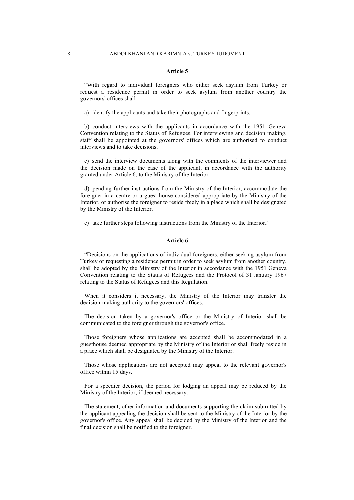#### **Article 5**

"With regard to individual foreigners who either seek asylum from Turkey or request a residence permit in order to seek asylum from another country the governors' offices shall

a) identify the applicants and take their photographs and fingerprints.

b) conduct interviews with the applicants in accordance with the 1951 Geneva Convention relating to the Status of Refugees. For interviewing and decision making, staff shall be appointed at the governors' offices which are authorised to conduct interviews and to take decisions.

c) send the interview documents along with the comments of the interviewer and the decision made on the case of the applicant, in accordance with the authority granted under Article 6, to the Ministry of the Interior.

d) pending further instructions from the Ministry of the Interior, accommodate the foreigner in a centre or a guest house considered appropriate by the Ministry of the Interior, or authorise the foreigner to reside freely in a place which shall be designated by the Ministry of the Interior.

e) take further steps following instructions from the Ministry of the Interior."

#### **Article 6**

"Decisions on the applications of individual foreigners, either seeking asylum from Turkey or requesting a residence permit in order to seek asylum from another country, shall be adopted by the Ministry of the Interior in accordance with the 1951 Geneva Convention relating to the Status of Refugees and the Protocol of 31 January 1967 relating to the Status of Refugees and this Regulation.

When it considers it necessary, the Ministry of the Interior may transfer the decision-making authority to the governors' offices.

The decision taken by a governor's office or the Ministry of Interior shall be communicated to the foreigner through the governor's office.

Those foreigners whose applications are accepted shall be accommodated in a guesthouse deemed appropriate by the Ministry of the Interior or shall freely reside in a place which shall be designated by the Ministry of the Interior.

Those whose applications are not accepted may appeal to the relevant governor's office within 15 days.

For a speedier decision, the period for lodging an appeal may be reduced by the Ministry of the Interior, if deemed necessary.

The statement, other information and documents supporting the claim submitted by the applicant appealing the decision shall be sent to the Ministry of the Interior by the governor's office. Any appeal shall be decided by the Ministry of the Interior and the final decision shall be notified to the foreigner.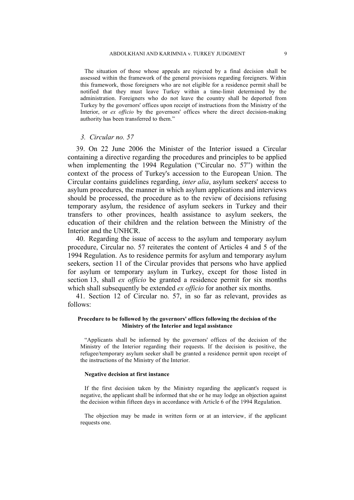The situation of those whose appeals are rejected by a final decision shall be assessed within the framework of the general provisions regarding foreigners. Within this framework, those foreigners who are not eligible for a residence permit shall be notified that they must leave Turkey within a time-limit determined by the administration. Foreigners who do not leave the country shall be deported from Turkey by the governors' offices upon receipt of instructions from the Ministry of the Interior, or *ex officio* by the governors' offices where the direct decision-making authority has been transferred to them."

### *3. Circular no. 57*

39. On 22 June 2006 the Minister of the Interior issued a Circular containing a directive regarding the procedures and principles to be applied when implementing the 1994 Regulation ("Circular no. 57") within the context of the process of Turkey's accession to the European Union. The Circular contains guidelines regarding, *inter alia*, asylum seekers' access to asylum procedures, the manner in which asylum applications and interviews should be processed, the procedure as to the review of decisions refusing temporary asylum, the residence of asylum seekers in Turkey and their transfers to other provinces, health assistance to asylum seekers, the education of their children and the relation between the Ministry of the Interior and the UNHCR.

40. Regarding the issue of access to the asylum and temporary asylum procedure, Circular no. 57 reiterates the content of Articles 4 and 5 of the 1994 Regulation. As to residence permits for asylum and temporary asylum seekers, section 11 of the Circular provides that persons who have applied for asylum or temporary asylum in Turkey, except for those listed in section 13, shall *ex officio* be granted a residence permit for six months which shall subsequently be extended *ex officio* for another six months.

41. Section 12 of Circular no. 57, in so far as relevant, provides as follows:

#### **Procedure to be followed by the governors' offices following the decision of the Ministry of the Interior and legal assistance**

"Applicants shall be informed by the governors' offices of the decision of the Ministry of the Interior regarding their requests. If the decision is positive, the refugee/temporary asylum seeker shall be granted a residence permit upon receipt of the instructions of the Ministry of the Interior.

#### **Negative decision at first instance**

If the first decision taken by the Ministry regarding the applicant's request is negative, the applicant shall be informed that she or he may lodge an objection against the decision within fifteen days in accordance with Article 6 of the 1994 Regulation.

The objection may be made in written form or at an interview, if the applicant requests one.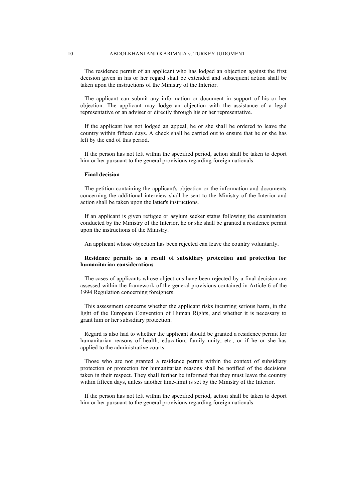The residence permit of an applicant who has lodged an objection against the first decision given in his or her regard shall be extended and subsequent action shall be taken upon the instructions of the Ministry of the Interior.

The applicant can submit any information or document in support of his or her objection. The applicant may lodge an objection with the assistance of a legal representative or an adviser or directly through his or her representative.

If the applicant has not lodged an appeal, he or she shall be ordered to leave the country within fifteen days. A check shall be carried out to ensure that he or she has left by the end of this period.

If the person has not left within the specified period, action shall be taken to deport him or her pursuant to the general provisions regarding foreign nationals.

#### **Final decision**

The petition containing the applicant's objection or the information and documents concerning the additional interview shall be sent to the Ministry of the Interior and action shall be taken upon the latter's instructions.

If an applicant is given refugee or asylum seeker status following the examination conducted by the Ministry of the Interior, he or she shall be granted a residence permit upon the instructions of the Ministry.

An applicant whose objection has been rejected can leave the country voluntarily.

#### **Residence permits as a result of subsidiary protection and protection for humanitarian considerations**

The cases of applicants whose objections have been rejected by a final decision are assessed within the framework of the general provisions contained in Article 6 of the 1994 Regulation concerning foreigners.

This assessment concerns whether the applicant risks incurring serious harm, in the light of the European Convention of Human Rights, and whether it is necessary to grant him or her subsidiary protection.

Regard is also had to whether the applicant should be granted a residence permit for humanitarian reasons of health, education, family unity, etc., or if he or she has applied to the administrative courts.

Those who are not granted a residence permit within the context of subsidiary protection or protection for humanitarian reasons shall be notified of the decisions taken in their respect. They shall further be informed that they must leave the country within fifteen days, unless another time-limit is set by the Ministry of the Interior.

If the person has not left within the specified period, action shall be taken to deport him or her pursuant to the general provisions regarding foreign nationals.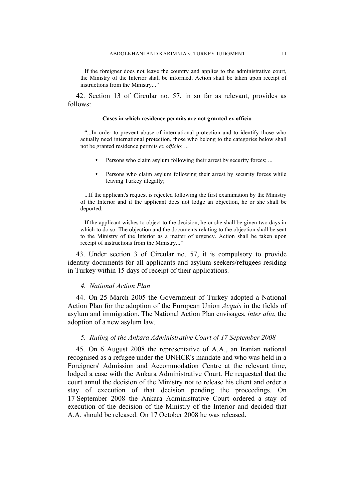If the foreigner does not leave the country and applies to the administrative court, the Ministry of the Interior shall be informed. Action shall be taken upon receipt of instructions from the Ministry..."

42. Section 13 of Circular no. 57, in so far as relevant, provides as follows:

#### **Cases in which residence permits are not granted ex officio**

"...In order to prevent abuse of international protection and to identify those who actually need international protection, those who belong to the categories below shall not be granted residence permits *ex officio*: ...

- Persons who claim asylum following their arrest by security forces; ...
- Persons who claim asylum following their arrest by security forces while leaving Turkey illegally;

...If the applicant's request is rejected following the first examination by the Ministry of the Interior and if the applicant does not lodge an objection, he or she shall be deported.

If the applicant wishes to object to the decision, he or she shall be given two days in which to do so. The objection and the documents relating to the objection shall be sent to the Ministry of the Interior as a matter of urgency. Action shall be taken upon receipt of instructions from the Ministry..."

43. Under section 3 of Circular no. 57, it is compulsory to provide identity documents for all applicants and asylum seekers/refugees residing in Turkey within 15 days of receipt of their applications.

### *4. National Action Plan*

44. On 25 March 2005 the Government of Turkey adopted a National Action Plan for the adoption of the European Union *Acquis* in the fields of asylum and immigration. The National Action Plan envisages, *inter alia*, the adoption of a new asylum law.

# *5. Ruling of the Ankara Administrative Court of 17 September 2008*

45. On 6 August 2008 the representative of A.A., an Iranian national recognised as a refugee under the UNHCR's mandate and who was held in a Foreigners' Admission and Accommodation Centre at the relevant time, lodged a case with the Ankara Administrative Court. He requested that the court annul the decision of the Ministry not to release his client and order a stay of execution of that decision pending the proceedings. On 17 September 2008 the Ankara Administrative Court ordered a stay of execution of the decision of the Ministry of the Interior and decided that A.A. should be released. On 17 October 2008 he was released.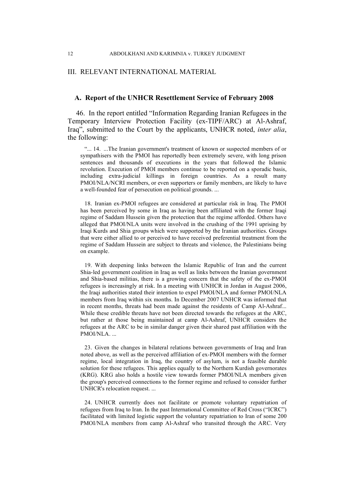# III. RELEVANT INTERNATIONAL MATERIAL

# **A. Report of the UNHCR Resettlement Service of February 2008**

46. In the report entitled "Information Regarding Iranian Refugees in the Temporary Interview Protection Facility (ex-TIPF/ARC) at Al-Ashraf, Iraq", submitted to the Court by the applicants, UNHCR noted, *inter alia*, the following:

"... 14. ...The Iranian government's treatment of known or suspected members of or sympathisers with the PMOI has reportedly been extremely severe, with long prison sentences and thousands of executions in the years that followed the Islamic revolution. Execution of PMOI members continue to be reported on a sporadic basis, including extra-judicial killings in foreign countries. As a result many PMOI/NLA/NCRI members, or even supporters or family members, are likely to have a well-founded fear of persecution on political grounds. ...

18. Iranian ex-PMOI refugees are considered at particular risk in Iraq. The PMOI has been perceived by some in Iraq as having been affiliated with the former Iraqi regime of Saddam Hussein given the protection that the regime afforded. Others have alleged that PMOI/NLA units were involved in the crushing of the 1991 uprising by Iraqi Kurds and Shia groups which were supported by the Iranian authorities. Groups that were either allied to or perceived to have received preferential treatment from the regime of Saddam Hussein are subject to threats and violence, the Palestinians being on example.

19. With deepening links between the Islamic Republic of Iran and the current Shia-led government coalition in Iraq as well as links between the Iranian government and Shia-based militias, there is a growing concern that the safety of the ex-PMOI refugees is increasingly at risk. In a meeting with UNHCR in Jordan in August 2006, the Iraqi authorities stated their intention to expel PMOI/NLA and former PMOI/NLA members from Iraq within six months. In December 2007 UNHCR was informed that in recent months, threats had been made against the residents of Camp Al-Ashraf... While these credible threats have not been directed towards the refugees at the ARC, but rather at those being maintained at camp Al-Ashraf, UNHCR considers the refugees at the ARC to be in similar danger given their shared past affiliation with the PMOI/NLA. ...

23. Given the changes in bilateral relations between governments of Iraq and Iran noted above, as well as the perceived affiliation of ex-PMOI members with the former regime, local integration in Iraq, the country of asylum, is not a feasible durable solution for these refugees. This applies equally to the Northern Kurdish governorates (KRG). KRG also holds a hostile view towards former PMOI/NLA members given the group's perceived connections to the former regime and refused to consider further UNHCR's relocation request. ...

24. UNHCR currently does not facilitate or promote voluntary repatriation of refugees from Iraq to Iran. In the past International Committee of Red Cross ("ICRC") facilitated with limited logistic support the voluntary repatriation to Iran of some 200 PMOI/NLA members from camp Al-Ashraf who transited through the ARC. Very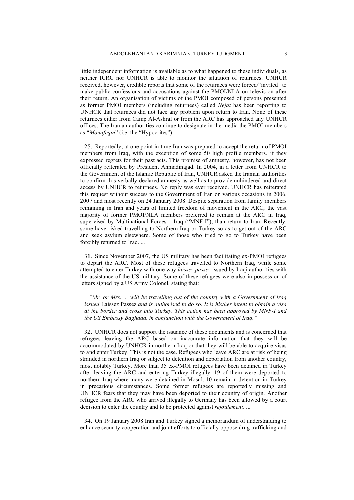little independent information is available as to what happened to these individuals, as neither ICRC nor UNHCR is able to monitor the situation of returnees. UNHCR received, however, credible reports that some of the returnees were forced/"invited" to make public confessions and accusations against the PMOI/NLA on television after their return. An organisation of victims of the PMOI composed of persons presented as former PMOI members (including returnees) called *Nejat* has been reporting to UNHCR that returnees did not face any problem upon return to Iran. None of these returnees either from Camp Al-Ashraf or from the ARC has approached any UNHCR offices. The Iranian authorities continue to designate in the media the PMOI members as "*Monafeqin*" (i.e. the "Hypocrites").

25. Reportedly, at one point in time Iran was prepared to accept the return of PMOI members from Iraq, with the exception of some 50 high profile members, if they expressed regrets for their past acts. This promise of amnesty, however, has not been officially reiterated by President Ahmadinajad. In 2004, in a letter from UNHCR to the Government of the Islamic Republic of Iran, UNHCR asked the Iranian authorities to confirm this verbally-declared amnesty as well as to provide unhindered and direct access by UNHCR to returnees. No reply was ever received. UNHCR has reiterated this request without success to the Government of Iran on various occasions in 2006, 2007 and most recently on 24 January 2008. Despite separation from family members remaining in Iran and years of limited freedom of movement in the ARC, the vast majority of former PMOI/NLA members preferred to remain at the ARC in Iraq, supervised by Multinational Forces – Iraq ("MNF-I"), than return to Iran. Recently, some have risked travelling to Northern Iraq or Turkey so as to get out of the ARC and seek asylum elsewhere. Some of those who tried to go to Turkey have been forcibly returned to Iraq. ...

31. Since November 2007, the US military has been facilitating ex-PMOI refugees to depart the ARC. Most of these refugees travelled to Northern Iraq, while some attempted to enter Turkey with one way *laissez passez* issued by Iraqi authorities with the assistance of the US military. Some of these refugees were also in possession of letters signed by a US Army Colonel, stating that:

*"Mr. or Mrs. ... will be travelling out of the country with a Government of Iraq issued* Laissez Passez *and is authorised to do so. It is his/her intent to obtain a visa at the border and cross into Turkey. This action has been approved by MNF-I and the US Embassy Baghdad, in conjunction with the Government of Iraq."*

32. UNHCR does not support the issuance of these documents and is concerned that refugees leaving the ARC based on inaccurate information that they will be accommodated by UNHCR in northern Iraq or that they will be able to acquire visas to and enter Turkey. This is not the case. Refugees who leave ARC are at risk of being stranded in northern Iraq or subject to detention and deportation from another country, most notably Turkey. More than 35 ex-PMOI refugees have been detained in Turkey after leaving the ARC and entering Turkey illegally. 19 of them were deported to northern Iraq where many were detained in Mosul. 10 remain in detention in Turkey in precarious circumstances. Some former refugees are reportedly missing and UNHCR fears that they may have been deported to their country of origin. Another refugee from the ARC who arrived illegally to Germany has been allowed by a court decision to enter the country and to be protected against *refoulement*. ...

34. On 19 January 2008 Iran and Turkey signed a memorandum of understanding to enhance security cooperation and joint efforts to officially oppose drug trafficking and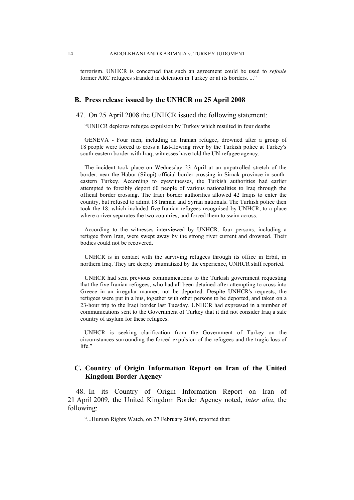terrorism. UNHCR is concerned that such an agreement could be used to *refoule* former ARC refugees stranded in detention in Turkey or at its borders. ..."

### **B. Press release issued by the UNHCR on 25 April 2008**

47. On 25 April 2008 the UNHCR issued the following statement:

"UNHCR deplores refugee expulsion by Turkey which resulted in four deaths

GENEVA - Four men, including an Iranian refugee, drowned after a group of 18 people were forced to cross a fast-flowing river by the Turkish police at Turkey's south-eastern border with Iraq, witnesses have told the UN refugee agency.

The incident took place on Wednesday 23 April at an unpatrolled stretch of the border, near the Habur (Silopi) official border crossing in Sirnak province in southeastern Turkey. According to eyewitnesses, the Turkish authorities had earlier attempted to forcibly deport 60 people of various nationalities to Iraq through the official border crossing. The Iraqi border authorities allowed 42 Iraqis to enter the country, but refused to admit 18 Iranian and Syrian nationals. The Turkish police then took the 18, which included five Iranian refugees recognised by UNHCR, to a place where a river separates the two countries, and forced them to swim across.

According to the witnesses interviewed by UNHCR, four persons, including a refugee from Iran, were swept away by the strong river current and drowned. Their bodies could not be recovered.

UNHCR is in contact with the surviving refugees through its office in Erbil, in northern Iraq. They are deeply traumatized by the experience, UNHCR staff reported.

UNHCR had sent previous communications to the Turkish government requesting that the five Iranian refugees, who had all been detained after attempting to cross into Greece in an irregular manner, not be deported. Despite UNHCR's requests, the refugees were put in a bus, together with other persons to be deported, and taken on a 23-hour trip to the Iraqi border last Tuesday. UNHCR had expressed in a number of communications sent to the Government of Turkey that it did not consider Iraq a safe country of asylum for these refugees.

UNHCR is seeking clarification from the Government of Turkey on the circumstances surrounding the forced expulsion of the refugees and the tragic loss of life."

# **C. Country of Origin Information Report on Iran of the United Kingdom Border Agency**

48. In its Country of Origin Information Report on Iran of 21 April 2009, the United Kingdom Border Agency noted, *inter alia*, the following:

"...Human Rights Watch, on 27 February 2006, reported that: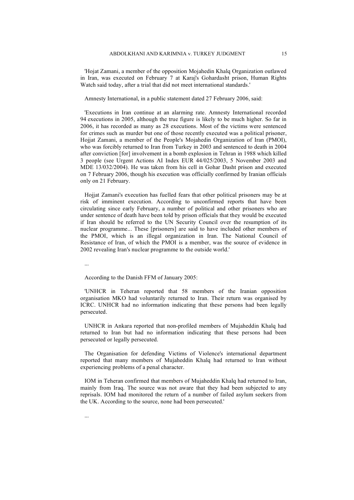'Hojat Zamani, a member of the opposition Mojahedin Khalq Organization outlawed in Iran, was executed on February 7 at Karaj's Gohardasht prison, Human Rights Watch said today, after a trial that did not meet international standards.'

Amnesty International, in a public statement dated 27 February 2006, said:

'Executions in Iran continue at an alarming rate. Amnesty International recorded 94 executions in 2005, although the true figure is likely to be much higher. So far in 2006, it has recorded as many as 28 executions. Most of the victims were sentenced for crimes such as murder but one of those recently executed was a political prisoner, Hojjat Zamani, a member of the People's Mojahedin Organization of Iran (PMOI), who was forcibly returned to Iran from Turkey in 2003 and sentenced to death in 2004 after conviction [for] involvement in a bomb explosion in Tehran in 1988 which killed 3 people (see Urgent Actions AI Index EUR 44/025/2003, 5 November 2003 and MDE 13/032/2004). He was taken from his cell in Gohar Dasht prison and executed on 7 February 2006, though his execution was officially confirmed by Iranian officials only on 21 February.

Hojjat Zamani's execution has fuelled fears that other political prisoners may be at risk of imminent execution. According to unconfirmed reports that have been circulating since early February, a number of political and other prisoners who are under sentence of death have been told by prison officials that they would be executed if Iran should be referred to the UN Security Council over the resumption of its nuclear programme... These [prisoners] are said to have included other members of the PMOI, which is an illegal organization in Iran. The National Council of Resistance of Iran, of which the PMOI is a member, was the source of evidence in 2002 revealing Iran's nuclear programme to the outside world.'

...

According to the Danish FFM of January 2005:

'UNHCR in Teheran reported that 58 members of the Iranian opposition organisation MKO had voluntarily returned to Iran. Their return was organised by ICRC. UNHCR had no information indicating that these persons had been legally persecuted.

UNHCR in Ankara reported that non-profiled members of Mujaheddin Khalq had returned to Iran but had no information indicating that these persons had been persecuted or legally persecuted.

The Organisation for defending Victims of Violence's international department reported that many members of Mujaheddin Khalq had returned to Iran without experiencing problems of a penal character.

IOM in Teheran confirmed that members of Mujaheddin Khalq had returned to Iran, mainly from Iraq. The source was not aware that they had been subjected to any reprisals. IOM had monitored the return of a number of failed asylum seekers from the UK. According to the source, none had been persecuted.'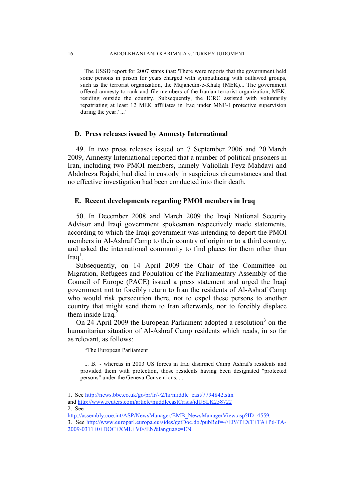The USSD report for 2007 states that: 'There were reports that the government held some persons in prison for years charged with sympathizing with outlawed groups, such as the terrorist organization, the Mujahedin-e-Khalq (MEK)... The government offered amnesty to rank-and-file members of the Iranian terrorist organization, MEK, residing outside the country. Subsequently, the ICRC assisted with voluntarily repatriating at least 12 MEK affiliates in Iraq under MNF-I protective supervision during the year.'..."

# **D. Press releases issued by Amnesty International**

49. In two press releases issued on 7 September 2006 and 20 March 2009, Amnesty International reported that a number of political prisoners in Iran, including two PMOI members, namely Valiollah Feyz Mahdavi and Abdolreza Rajabi, had died in custody in suspicious circumstances and that no effective investigation had been conducted into their death.

# **E. Recent developments regarding PMOI members in Iraq**

50. In December 2008 and March 2009 the Iraqi National Security Advisor and Iraqi government spokesman respectively made statements, according to which the Iraqi government was intending to deport the PMOI members in Al-Ashraf Camp to their country of origin or to a third country, and asked the international community to find places for them other than Iraq<sup>1</sup>.

Subsequently, on 14 April 2009 the Chair of the Committee on Migration, Refugees and Population of the Parliamentary Assembly of the Council of Europe (PACE) issued a press statement and urged the Iraqi government not to forcibly return to Iran the residents of Al-Ashraf Camp who would risk persecution there, not to expel these persons to another country that might send them to Iran afterwards, nor to forcibly displace them inside Iraq. $<sup>2</sup>$ </sup>

On 24 April 2009 the European Parliament adopted a resolution<sup>3</sup> on the humanitarian situation of Al-Ashraf Camp residents which reads, in so far as relevant, as follows:

"The European Parliament

... B. - whereas in 2003 US forces in Iraq disarmed Camp Ashraf's residents and provided them with protection, those residents having been designated "protected persons" under the Geneva Conventions, ...

 <sup>1.</sup> See http://news.bbc.co.uk/go/pr/fr/-/2/hi/middle\_east/7794842.stm and http://www.reuters.com/article/middleeastCrisis/idUSLK258722 2. See

http://assembly.coe.int/ASP/NewsManager/EMB\_NewsManagerView.asp?ID=4559.

<sup>3.</sup> See http://www.europarl.europa.eu/sides/getDoc.do?pubRef=-//EP//TEXT+TA+P6-TA-2009-0311+0+DOC+XML+V0//EN&language=EN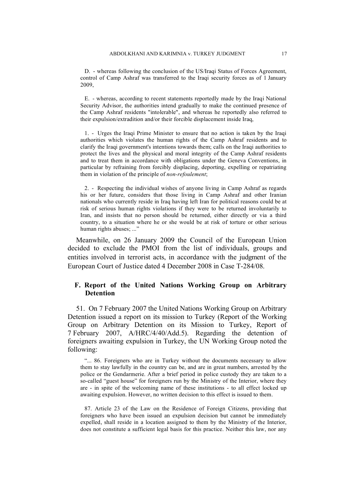D. - whereas following the conclusion of the US/Iraqi Status of Forces Agreement, control of Camp Ashraf was transferred to the Iraqi security forces as of 1 January 2009,

E. - whereas, according to recent statements reportedly made by the Iraqi National Security Advisor, the authorities intend gradually to make the continued presence of the Camp Ashraf residents "intolerable", and whereas he reportedly also referred to their expulsion/extradition and/or their forcible displacement inside Iraq,

1. - Urges the Iraqi Prime Minister to ensure that no action is taken by the Iraqi authorities which violates the human rights of the Camp Ashraf residents and to clarify the Iraqi government's intentions towards them; calls on the Iraqi authorities to protect the lives and the physical and moral integrity of the Camp Ashraf residents and to treat them in accordance with obligations under the Geneva Conventions, in particular by refraining from forcibly displacing, deporting, expelling or repatriating them in violation of the principle of *non-refoulement*;

2. - Respecting the individual wishes of anyone living in Camp Ashraf as regards his or her future, considers that those living in Camp Ashraf and other Iranian nationals who currently reside in Iraq having left Iran for political reasons could be at risk of serious human rights violations if they were to be returned involuntarily to Iran, and insists that no person should be returned, either directly or via a third country, to a situation where he or she would be at risk of torture or other serious human rights abuses; ..."

Meanwhile, on 26 January 2009 the Council of the European Union decided to exclude the PMOI from the list of individuals, groups and entities involved in terrorist acts, in accordance with the judgment of the European Court of Justice dated 4 December 2008 in Case T-284/08.

# **F. Report of the United Nations Working Group on Arbitrary Detention**

51. On 7 February 2007 the United Nations Working Group on Arbitrary Detention issued a report on its mission to Turkey (Report of the Working Group on Arbitrary Detention on its Mission to Turkey, Report of 7 February 2007, A/HRC/4/40/Add.5). Regarding the detention of foreigners awaiting expulsion in Turkey, the UN Working Group noted the following:

"... 86. Foreigners who are in Turkey without the documents necessary to allow them to stay lawfully in the country can be, and are in great numbers, arrested by the police or the Gendarmerie. After a brief period in police custody they are taken to a so-called "guest house" for foreigners run by the Ministry of the Interior, where they are - in spite of the welcoming name of these institutions - to all effect locked up awaiting expulsion. However, no written decision to this effect is issued to them.

87. Article 23 of the Law on the Residence of Foreign Citizens, providing that foreigners who have been issued an expulsion decision but cannot be immediately expelled, shall reside in a location assigned to them by the Ministry of the Interior, does not constitute a sufficient legal basis for this practice. Neither this law, nor any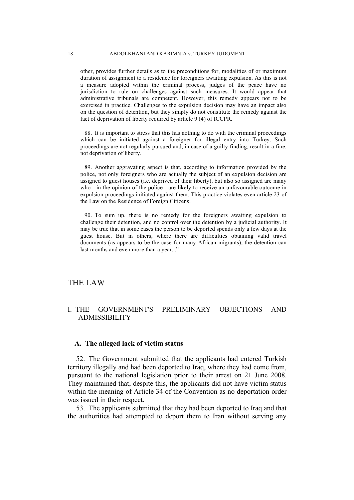other, provides further details as to the preconditions for, modalities of or maximum duration of assignment to a residence for foreigners awaiting expulsion. As this is not a measure adopted within the criminal process, judges of the peace have no jurisdiction to rule on challenges against such measures. It would appear that administrative tribunals are competent. However, this remedy appears not to be exercised in practice. Challenges to the expulsion decision may have an impact also on the question of detention, but they simply do not constitute the remedy against the fact of deprivation of liberty required by article 9 (4) of ICCPR.

88. It is important to stress that this has nothing to do with the criminal proceedings which can be initiated against a foreigner for illegal entry into Turkey. Such proceedings are not regularly pursued and, in case of a guilty finding, result in a fine, not deprivation of liberty.

89. Another aggravating aspect is that, according to information provided by the police, not only foreigners who are actually the subject of an expulsion decision are assigned to guest houses (i.e. deprived of their liberty), but also so assigned are many who - in the opinion of the police - are likely to receive an unfavourable outcome in expulsion proceedings initiated against them. This practice violates even article 23 of the Law on the Residence of Foreign Citizens.

90. To sum up, there is no remedy for the foreigners awaiting expulsion to challenge their detention, and no control over the detention by a judicial authority. It may be true that in some cases the person to be deported spends only a few days at the guest house. But in others, where there are difficulties obtaining valid travel documents (as appears to be the case for many African migrants), the detention can last months and even more than a year..."

# THE LAW

# I. THE GOVERNMENT'S PRELIMINARY OBJECTIONS AND ADMISSIBILITY

# **A. The alleged lack of victim status**

52. The Government submitted that the applicants had entered Turkish territory illegally and had been deported to Iraq, where they had come from, pursuant to the national legislation prior to their arrest on 21 June 2008. They maintained that, despite this, the applicants did not have victim status within the meaning of Article 34 of the Convention as no deportation order was issued in their respect.

53. The applicants submitted that they had been deported to Iraq and that the authorities had attempted to deport them to Iran without serving any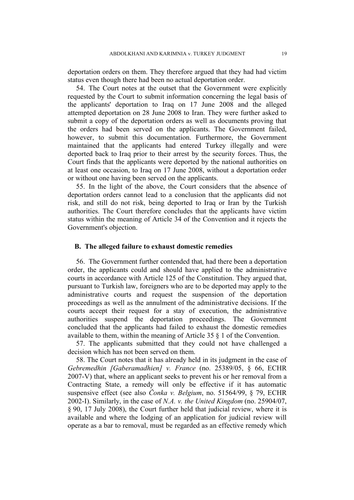deportation orders on them. They therefore argued that they had had victim status even though there had been no actual deportation order.

54. The Court notes at the outset that the Government were explicitly requested by the Court to submit information concerning the legal basis of the applicants' deportation to Iraq on 17 June 2008 and the alleged attempted deportation on 28 June 2008 to Iran. They were further asked to submit a copy of the deportation orders as well as documents proving that the orders had been served on the applicants. The Government failed, however, to submit this documentation. Furthermore, the Government maintained that the applicants had entered Turkey illegally and were deported back to Iraq prior to their arrest by the security forces. Thus, the Court finds that the applicants were deported by the national authorities on at least one occasion, to Iraq on 17 June 2008, without a deportation order or without one having been served on the applicants.

55. In the light of the above, the Court considers that the absence of deportation orders cannot lead to a conclusion that the applicants did not risk, and still do not risk, being deported to Iraq or Iran by the Turkish authorities. The Court therefore concludes that the applicants have victim status within the meaning of Article 34 of the Convention and it rejects the Government's objection.

### **B. The alleged failure to exhaust domestic remedies**

56. The Government further contended that, had there been a deportation order, the applicants could and should have applied to the administrative courts in accordance with Article 125 of the Constitution. They argued that, pursuant to Turkish law, foreigners who are to be deported may apply to the administrative courts and request the suspension of the deportation proceedings as well as the annulment of the administrative decisions. If the courts accept their request for a stay of execution, the administrative authorities suspend the deportation proceedings. The Government concluded that the applicants had failed to exhaust the domestic remedies available to them, within the meaning of Article 35 § 1 of the Convention.

57. The applicants submitted that they could not have challenged a decision which has not been served on them.

58. The Court notes that it has already held in its judgment in the case of *Gebremedhin [Gaberamadhien] v. France* (no. 25389/05, § 66, ECHR 2007-V) that, where an applicant seeks to prevent his or her removal from a Contracting State, a remedy will only be effective if it has automatic suspensive effect (see also *Čonka v. Belgium*, no. 51564/99, § 79, ECHR 2002-I). Similarly, in the case of *N.A. v. the United Kingdom* (no. 25904/07, § 90, 17 July 2008), the Court further held that judicial review, where it is available and where the lodging of an application for judicial review will operate as a bar to removal, must be regarded as an effective remedy which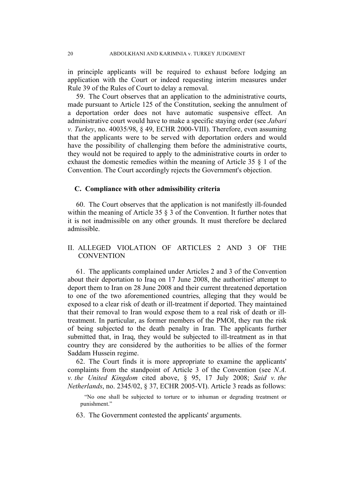in principle applicants will be required to exhaust before lodging an application with the Court or indeed requesting interim measures under Rule 39 of the Rules of Court to delay a removal.

59. The Court observes that an application to the administrative courts, made pursuant to Article 125 of the Constitution, seeking the annulment of a deportation order does not have automatic suspensive effect. An administrative court would have to make a specific staying order (see *Jabari v. Turkey*, no. 40035/98, § 49, ECHR 2000-VIII). Therefore, even assuming that the applicants were to be served with deportation orders and would have the possibility of challenging them before the administrative courts, they would not be required to apply to the administrative courts in order to exhaust the domestic remedies within the meaning of Article 35 § 1 of the Convention. The Court accordingly rejects the Government's objection.

#### **C. Compliance with other admissibility criteria**

60. The Court observes that the application is not manifestly ill-founded within the meaning of Article 35  $\S$  3 of the Convention. It further notes that it is not inadmissible on any other grounds. It must therefore be declared admissible.

# II. ALLEGED VIOLATION OF ARTICLES 2 AND 3 OF THE **CONVENTION**

61. The applicants complained under Articles 2 and 3 of the Convention about their deportation to Iraq on 17 June 2008, the authorities' attempt to deport them to Iran on 28 June 2008 and their current threatened deportation to one of the two aforementioned countries, alleging that they would be exposed to a clear risk of death or ill-treatment if deported. They maintained that their removal to Iran would expose them to a real risk of death or illtreatment. In particular, as former members of the PMOI, they run the risk of being subjected to the death penalty in Iran. The applicants further submitted that, in Iraq, they would be subjected to ill-treatment as in that country they are considered by the authorities to be allies of the former Saddam Hussein regime.

62. The Court finds it is more appropriate to examine the applicants' complaints from the standpoint of Article 3 of the Convention (see *N.A. v. the United Kingdom* cited above, § 95, 17 July 2008; *Said v. the Netherlands*, no. 2345/02, § 37, ECHR 2005-VI). Article 3 reads as follows:

63. The Government contested the applicants' arguments.

<sup>&</sup>quot;No one shall be subjected to torture or to inhuman or degrading treatment or punishment."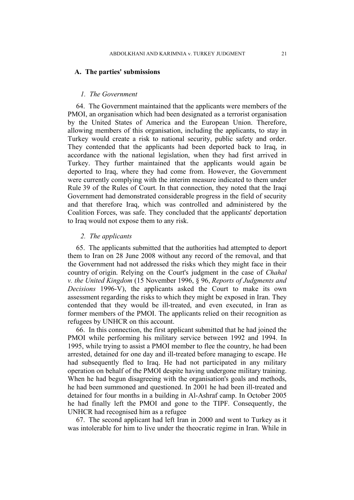### **A. The parties' submissions**

# *1. The Government*

64. The Government maintained that the applicants were members of the PMOI, an organisation which had been designated as a terrorist organisation by the United States of America and the European Union. Therefore, allowing members of this organisation, including the applicants, to stay in Turkey would create a risk to national security, public safety and order. They contended that the applicants had been deported back to Iraq, in accordance with the national legislation, when they had first arrived in Turkey. They further maintained that the applicants would again be deported to Iraq, where they had come from. However, the Government were currently complying with the interim measure indicated to them under Rule 39 of the Rules of Court. In that connection, they noted that the Iraqi Government had demonstrated considerable progress in the field of security and that therefore Iraq, which was controlled and administered by the Coalition Forces, was safe. They concluded that the applicants' deportation to Iraq would not expose them to any risk.

# *2. The applicants*

65. The applicants submitted that the authorities had attempted to deport them to Iran on 28 June 2008 without any record of the removal, and that the Government had not addressed the risks which they might face in their country of origin. Relying on the Court's judgment in the case of *Chahal v. the United Kingdom* (15 November 1996, § 96, *Reports of Judgments and Decisions* 1996-V), the applicants asked the Court to make its own assessment regarding the risks to which they might be exposed in Iran. They contended that they would be ill-treated, and even executed, in Iran as former members of the PMOI. The applicants relied on their recognition as refugees by UNHCR on this account.

66. In this connection, the first applicant submitted that he had joined the PMOI while performing his military service between 1992 and 1994. In 1995, while trying to assist a PMOI member to flee the country, he had been arrested, detained for one day and ill-treated before managing to escape. He had subsequently fled to Iraq. He had not participated in any military operation on behalf of the PMOI despite having undergone military training. When he had begun disagreeing with the organisation's goals and methods, he had been summoned and questioned. In 2001 he had been ill-treated and detained for four months in a building in Al-Ashraf camp. In October 2005 he had finally left the PMOI and gone to the TIPF. Consequently, the UNHCR had recognised him as a refugee

67. The second applicant had left Iran in 2000 and went to Turkey as it was intolerable for him to live under the theocratic regime in Iran. While in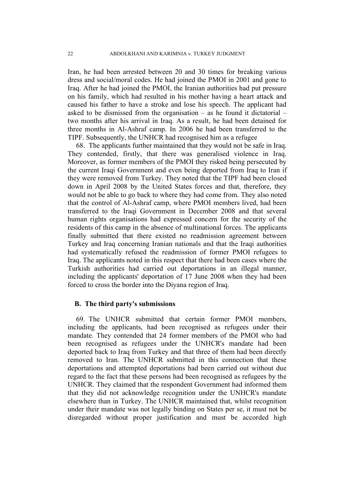Iran, he had been arrested between 20 and 30 times for breaking various dress and social/moral codes. He had joined the PMOI in 2001 and gone to Iraq. After he had joined the PMOI, the Iranian authorities had put pressure on his family, which had resulted in his mother having a heart attack and caused his father to have a stroke and lose his speech. The applicant had asked to be dismissed from the organisation – as he found it dictatorial – two months after his arrival in Iraq. As a result, he had been detained for three months in Al-Ashraf camp. In 2006 he had been transferred to the TIPF. Subsequently, the UNHCR had recognised him as a refugee

68. The applicants further maintained that they would not be safe in Iraq. They contended, firstly, that there was generalised violence in Iraq. Moreover, as former members of the PMOI they risked being persecuted by the current Iraqi Government and even being deported from Iraq to Iran if they were removed from Turkey. They noted that the TIPF had been closed down in April 2008 by the United States forces and that, therefore, they would not be able to go back to where they had come from. They also noted that the control of Al-Ashraf camp, where PMOI members lived, had been transferred to the Iraqi Government in December 2008 and that several human rights organisations had expressed concern for the security of the residents of this camp in the absence of multinational forces. The applicants finally submitted that there existed no readmission agreement between Turkey and Iraq concerning Iranian nationals and that the Iraqi authorities had systematically refused the readmission of former PMOI refugees to Iraq. The applicants noted in this respect that there had been cases where the Turkish authorities had carried out deportations in an illegal manner, including the applicants' deportation of 17 June 2008 when they had been forced to cross the border into the Diyana region of Iraq.

# **B. The third party's submissions**

69. The UNHCR submitted that certain former PMOI members, including the applicants, had been recognised as refugees under their mandate. They contended that 24 former members of the PMOI who had been recognised as refugees under the UNHCR's mandate had been deported back to Iraq from Turkey and that three of them had been directly removed to Iran. The UNHCR submitted in this connection that these deportations and attempted deportations had been carried out without due regard to the fact that these persons had been recognised as refugees by the UNHCR. They claimed that the respondent Government had informed them that they did not acknowledge recognition under the UNHCR's mandate elsewhere than in Turkey. The UNHCR maintained that, whilst recognition under their mandate was not legally binding on States per se, it must not be disregarded without proper justification and must be accorded high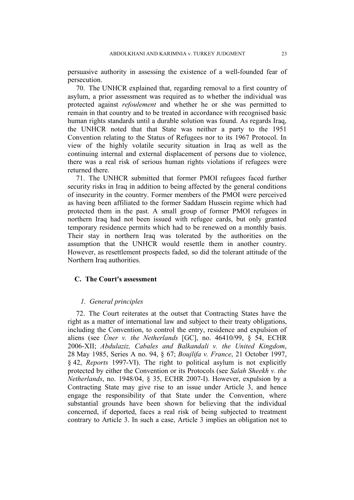persuasive authority in assessing the existence of a well-founded fear of persecution.

70. The UNHCR explained that, regarding removal to a first country of asylum, a prior assessment was required as to whether the individual was protected against *refoulement* and whether he or she was permitted to remain in that country and to be treated in accordance with recognised basic human rights standards until a durable solution was found. As regards Iraq, the UNHCR noted that that State was neither a party to the 1951 Convention relating to the Status of Refugees nor to its 1967 Protocol. In view of the highly volatile security situation in Iraq as well as the continuing internal and external displacement of persons due to violence, there was a real risk of serious human rights violations if refugees were returned there.

71. The UNHCR submitted that former PMOI refugees faced further security risks in Iraq in addition to being affected by the general conditions of insecurity in the country. Former members of the PMOI were perceived as having been affiliated to the former Saddam Hussein regime which had protected them in the past. A small group of former PMOI refugees in northern Iraq had not been issued with refugee cards, but only granted temporary residence permits which had to be renewed on a monthly basis. Their stay in northern Iraq was tolerated by the authorities on the assumption that the UNHCR would resettle them in another country. However, as resettlement prospects faded, so did the tolerant attitude of the Northern Iraq authorities.

# **C. The Court's assessment**

### *1. General principles*

72. The Court reiterates at the outset that Contracting States have the right as a matter of international law and subject to their treaty obligations, including the Convention, to control the entry, residence and expulsion of aliens (see *Üner v. the Netherlands* [GC], no. 46410/99, § 54, ECHR 2006-XII; *Abdulaziz, Cabales and Balkandali v. the United Kingdom*, 28 May 1985, Series A no. 94, § 67; *Boujlifa v. France*, 21 October 1997, § 42, *Reports* 1997-VI). The right to political asylum is not explicitly protected by either the Convention or its Protocols (see *Salah Sheekh v. the Netherlands*, no. 1948/04, § 35, ECHR 2007-I). However, expulsion by a Contracting State may give rise to an issue under Article 3, and hence engage the responsibility of that State under the Convention, where substantial grounds have been shown for believing that the individual concerned, if deported, faces a real risk of being subjected to treatment contrary to Article 3. In such a case, Article 3 implies an obligation not to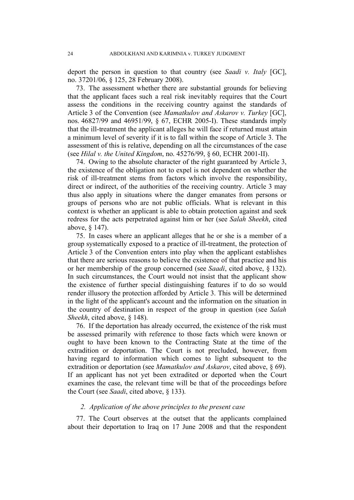deport the person in question to that country (see *Saadi v. Italy* [GC], no. 37201/06, § 125, 28 February 2008).

73. The assessment whether there are substantial grounds for believing that the applicant faces such a real risk inevitably requires that the Court assess the conditions in the receiving country against the standards of Article 3 of the Convention (see *Mamatkulov and Askarov v. Turkey* [GC], nos. 46827/99 and 46951/99, § 67, ECHR 2005-I). These standards imply that the ill-treatment the applicant alleges he will face if returned must attain a minimum level of severity if it is to fall within the scope of Article 3. The assessment of this is relative, depending on all the circumstances of the case (see *Hilal v. the United Kingdom*, no. 45276/99, § 60, ECHR 2001-II).

74. Owing to the absolute character of the right guaranteed by Article 3, the existence of the obligation not to expel is not dependent on whether the risk of ill-treatment stems from factors which involve the responsibility, direct or indirect, of the authorities of the receiving country. Article 3 may thus also apply in situations where the danger emanates from persons or groups of persons who are not public officials. What is relevant in this context is whether an applicant is able to obtain protection against and seek redress for the acts perpetrated against him or her (see *Salah Sheekh*, cited above, § 147).

75. In cases where an applicant alleges that he or she is a member of a group systematically exposed to a practice of ill-treatment, the protection of Article 3 of the Convention enters into play when the applicant establishes that there are serious reasons to believe the existence of that practice and his or her membership of the group concerned (see *Saadi*, cited above, § 132). In such circumstances, the Court would not insist that the applicant show the existence of further special distinguishing features if to do so would render illusory the protection afforded by Article 3. This will be determined in the light of the applicant's account and the information on the situation in the country of destination in respect of the group in question (see *Salah Sheekh*, cited above, § 148).

76. If the deportation has already occurred, the existence of the risk must be assessed primarily with reference to those facts which were known or ought to have been known to the Contracting State at the time of the extradition or deportation. The Court is not precluded, however, from having regard to information which comes to light subsequent to the extradition or deportation (see *Mamatkulov and Askarov*, cited above, § 69). If an applicant has not yet been extradited or deported when the Court examines the case, the relevant time will be that of the proceedings before the Court (see *Saadi*, cited above, § 133).

# *2. Application of the above principles to the present case*

77. The Court observes at the outset that the applicants complained about their deportation to Iraq on 17 June 2008 and that the respondent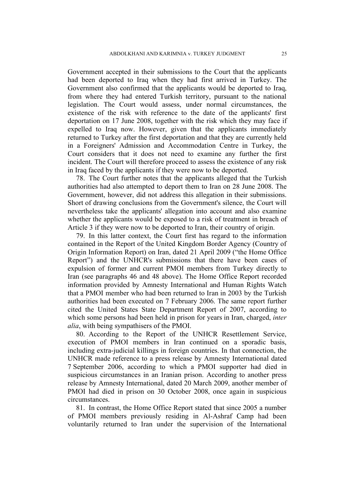Government accepted in their submissions to the Court that the applicants had been deported to Iraq when they had first arrived in Turkey. The Government also confirmed that the applicants would be deported to Iraq, from where they had entered Turkish territory, pursuant to the national legislation. The Court would assess, under normal circumstances, the existence of the risk with reference to the date of the applicants' first deportation on 17 June 2008, together with the risk which they may face if expelled to Iraq now. However, given that the applicants immediately returned to Turkey after the first deportation and that they are currently held in a Foreigners' Admission and Accommodation Centre in Turkey, the Court considers that it does not need to examine any further the first incident. The Court will therefore proceed to assess the existence of any risk in Iraq faced by the applicants if they were now to be deported.

78. The Court further notes that the applicants alleged that the Turkish authorities had also attempted to deport them to Iran on 28 June 2008. The Government, however, did not address this allegation in their submissions. Short of drawing conclusions from the Government's silence, the Court will nevertheless take the applicants' allegation into account and also examine whether the applicants would be exposed to a risk of treatment in breach of Article 3 if they were now to be deported to Iran, their country of origin.

79. In this latter context, the Court first has regard to the information contained in the Report of the United Kingdom Border Agency (Country of Origin Information Report) on Iran, dated 21 April 2009 ("the Home Office Report") and the UNHCR's submissions that there have been cases of expulsion of former and current PMOI members from Turkey directly to Iran (see paragraphs 46 and 48 above). The Home Office Report recorded information provided by Amnesty International and Human Rights Watch that a PMOI member who had been returned to Iran in 2003 by the Turkish authorities had been executed on 7 February 2006. The same report further cited the United States State Department Report of 2007, according to which some persons had been held in prison for years in Iran, charged, *inter alia*, with being sympathisers of the PMOI.

80. According to the Report of the UNHCR Resettlement Service, execution of PMOI members in Iran continued on a sporadic basis, including extra-judicial killings in foreign countries. In that connection, the UNHCR made reference to a press release by Amnesty International dated 7 September 2006, according to which a PMOI supporter had died in suspicious circumstances in an Iranian prison. According to another press release by Amnesty International, dated 20 March 2009, another member of PMOI had died in prison on 30 October 2008, once again in suspicious circumstances.

81. In contrast, the Home Office Report stated that since 2005 a number of PMOI members previously residing in Al-Ashraf Camp had been voluntarily returned to Iran under the supervision of the International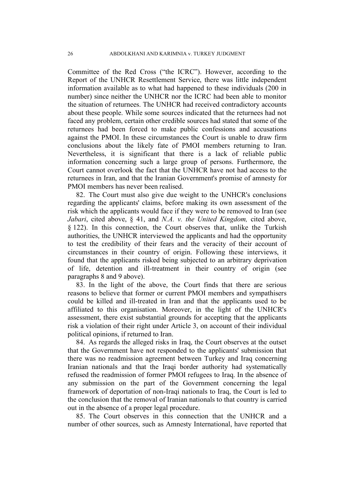Committee of the Red Cross ("the ICRC"). However, according to the Report of the UNHCR Resettlement Service, there was little independent information available as to what had happened to these individuals (200 in number) since neither the UNHCR nor the ICRC had been able to monitor the situation of returnees. The UNHCR had received contradictory accounts about these people. While some sources indicated that the returnees had not faced any problem, certain other credible sources had stated that some of the returnees had been forced to make public confessions and accusations against the PMOI. In these circumstances the Court is unable to draw firm conclusions about the likely fate of PMOI members returning to Iran. Nevertheless, it is significant that there is a lack of reliable public information concerning such a large group of persons. Furthermore, the Court cannot overlook the fact that the UNHCR have not had access to the returnees in Iran, and that the Iranian Government's promise of amnesty for PMOI members has never been realised.

82. The Court must also give due weight to the UNHCR's conclusions regarding the applicants' claims, before making its own assessment of the risk which the applicants would face if they were to be removed to Iran (see *Jabari*, cited above, § 41, and *N.A. v. the United Kingdom,* cited above, § 122). In this connection, the Court observes that, unlike the Turkish authorities, the UNHCR interviewed the applicants and had the opportunity to test the credibility of their fears and the veracity of their account of circumstances in their country of origin. Following these interviews, it found that the applicants risked being subjected to an arbitrary deprivation of life, detention and ill-treatment in their country of origin (see paragraphs 8 and 9 above).

83. In the light of the above, the Court finds that there are serious reasons to believe that former or current PMOI members and sympathisers could be killed and ill-treated in Iran and that the applicants used to be affiliated to this organisation. Moreover, in the light of the UNHCR's assessment, there exist substantial grounds for accepting that the applicants risk a violation of their right under Article 3, on account of their individual political opinions, if returned to Iran.

84. As regards the alleged risks in Iraq, the Court observes at the outset that the Government have not responded to the applicants' submission that there was no readmission agreement between Turkey and Iraq concerning Iranian nationals and that the Iraqi border authority had systematically refused the readmission of former PMOI refugees to Iraq. In the absence of any submission on the part of the Government concerning the legal framework of deportation of non-Iraqi nationals to Iraq, the Court is led to the conclusion that the removal of Iranian nationals to that country is carried out in the absence of a proper legal procedure.

85. The Court observes in this connection that the UNHCR and a number of other sources, such as Amnesty International, have reported that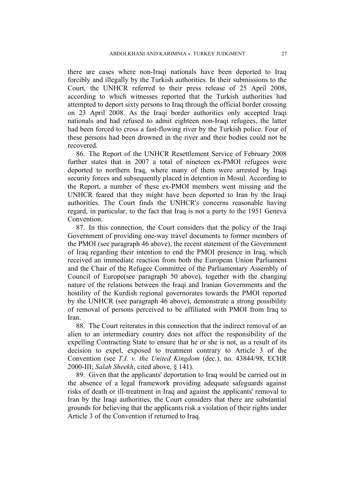there are cases where non-Iraqi nationals have been deported to Iraq forcibly and illegally by the Turkish authorities. In their submissions to the Court, the UNHCR referred to their press release of 25 April 2008, according to which witnesses reported that the Turkish authorities had attempted to deport sixty persons to Iraq through the official border crossing on 23 April 2008. As the Iraqi border authorities only accepted Iraqi nationals and had refused to admit eighteen non-Iraqi refugees, the latter had been forced to cross a fast-flowing river by the Turkish police. Four of these persons had been drowned in the river and their bodies could not be recovered.

86. The Report of the UNHCR Resettlement Service of February 2008 further states that in 2007 a total of nineteen ex-PMOI refugees were deported to northern Iraq, where many of them were arrested by Iraqi security forces and subsequently placed in detention in Mosul. According to the Report, a number of these ex-PMOI members went missing and the UNHCR feared that they might have been deported to Iran by the Iraqi authorities. The Court finds the UNHCR's concerns reasonable having regard, in particular, to the fact that Iraq is not a party to the 1951 Geneva Convention.

87. In this connection, the Court considers that the policy of the Iraqi Government of providing one-way travel documents to former members of the PMOI (see paragraph 46 above), the recent statement of the Government of Iraq regarding their intention to end the PMOI presence in Iraq, which received an immediate reaction from both the European Union Parliament and the Chair of the Refugee Committee of the Parliamentary Assembly of Council of Europe(see paragraph 50 above), together with the changing nature of the relations between the Iraqi and Iranian Governments and the hostility of the Kurdish regional governorates towards the PMOI reported by the UNHCR (see paragraph 46 above), demonstrate a strong possibility of removal of persons perceived to be affiliated with PMOI from Iraq to Iran.

88. The Court reiterates in this connection that the indirect removal of an alien to an intermediary country does not affect the responsibility of the expelling Contracting State to ensure that he or she is not, as a result of its decision to expel, exposed to treatment contrary to Article 3 of the Convention (see *T.I. v. the United Kingdom* (dec.), no. 43844/98, ECHR 2000-III; *Salah Sheekh*, cited above, § 141).

89. Given that the applicants' deportation to Iraq would be carried out in the absence of a legal framework providing adequate safeguards against risks of death or ill-treatment in Iraq and against the applicants' removal to Iran by the Iraqi authorities, the Court considers that there are substantial grounds for believing that the applicants risk a violation of their rights under Article 3 of the Convention if returned to Iraq.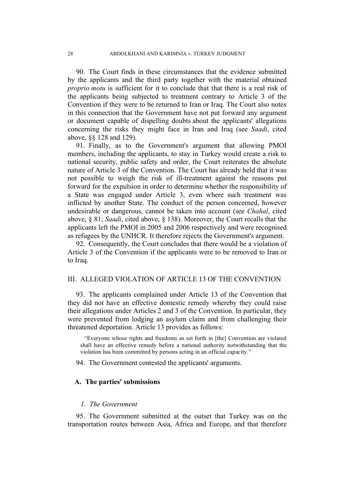90. The Court finds in these circumstances that the evidence submitted by the applicants and the third party together with the material obtained *proprio motu* is sufficient for it to conclude that that there is a real risk of the applicants being subjected to treatment contrary to Article 3 of the Convention if they were to be returned to Iran or Iraq. The Court also notes in this connection that the Government have not put forward any argument or document capable of dispelling doubts about the applicants' allegations concerning the risks they might face in Iran and Iraq (see *Saadi*, cited above, §§ 128 and 129).

91. Finally, as to the Government's argument that allowing PMOI members, including the applicants, to stay in Turkey would create a risk to national security, public safety and order, the Court reiterates the absolute nature of Article 3 of the Convention. The Court has already held that it was not possible to weigh the risk of ill-treatment against the reasons put forward for the expulsion in order to determine whether the responsibility of a State was engaged under Article 3, even where such treatment was inflicted by another State. The conduct of the person concerned, however undesirable or dangerous, cannot be taken into account (see *Chahal*, cited above, § 81; *Saadi*, cited above, § 138). Moreover, the Court recalls that the applicants left the PMOI in 2005 and 2006 respectively and were recognised as refugees by the UNHCR. It therefore rejects the Government's argument.

92. Consequently, the Court concludes that there would be a violation of Article 3 of the Convention if the applicants were to be removed to Iran or to Iraq.

# III. ALLEGED VIOLATION OF ARTICLE 13 OF THE CONVENTION

93. The applicants complained under Article 13 of the Convention that they did not have an effective domestic remedy whereby they could raise their allegations under Articles 2 and 3 of the Convention. In particular, they were prevented from lodging an asylum claim and from challenging their threatened deportation. Article 13 provides as follows:

"Everyone whose rights and freedoms as set forth in [the] Convention are violated shall have an effective remedy before a national authority notwithstanding that the violation has been committed by persons acting in an official capacity."

94. The Government contested the applicants' arguments.

## **A. The parties' submissions**

#### *1. The Government*

95. The Government submitted at the outset that Turkey was on the transportation routes between Asia, Africa and Europe, and that therefore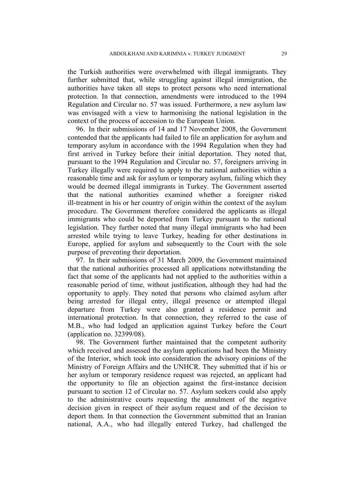the Turkish authorities were overwhelmed with illegal immigrants. They further submitted that, while struggling against illegal immigration, the authorities have taken all steps to protect persons who need international protection. In that connection, amendments were introduced to the 1994 Regulation and Circular no. 57 was issued. Furthermore, a new asylum law was envisaged with a view to harmonising the national legislation in the context of the process of accession to the European Union.

96. In their submissions of 14 and 17 November 2008, the Government contended that the applicants had failed to file an application for asylum and temporary asylum in accordance with the 1994 Regulation when they had first arrived in Turkey before their initial deportation. They noted that, pursuant to the 1994 Regulation and Circular no. 57, foreigners arriving in Turkey illegally were required to apply to the national authorities within a reasonable time and ask for asylum or temporary asylum, failing which they would be deemed illegal immigrants in Turkey. The Government asserted that the national authorities examined whether a foreigner risked ill-treatment in his or her country of origin within the context of the asylum procedure. The Government therefore considered the applicants as illegal immigrants who could be deported from Turkey pursuant to the national legislation. They further noted that many illegal immigrants who had been arrested while trying to leave Turkey, heading for other destinations in Europe, applied for asylum and subsequently to the Court with the sole purpose of preventing their deportation.

97. In their submissions of 31 March 2009, the Government maintained that the national authorities processed all applications notwithstanding the fact that some of the applicants had not applied to the authorities within a reasonable period of time, without justification, although they had had the opportunity to apply. They noted that persons who claimed asylum after being arrested for illegal entry, illegal presence or attempted illegal departure from Turkey were also granted a residence permit and international protection. In that connection, they referred to the case of M.B., who had lodged an application against Turkey before the Court (application no. 32399/08).

98. The Government further maintained that the competent authority which received and assessed the asylum applications had been the Ministry of the Interior, which took into consideration the advisory opinions of the Ministry of Foreign Affairs and the UNHCR. They submitted that if his or her asylum or temporary residence request was rejected, an applicant had the opportunity to file an objection against the first-instance decision pursuant to section 12 of Circular no. 57. Asylum seekers could also apply to the administrative courts requesting the annulment of the negative decision given in respect of their asylum request and of the decision to deport them. In that connection the Government submitted that an Iranian national, A.A., who had illegally entered Turkey, had challenged the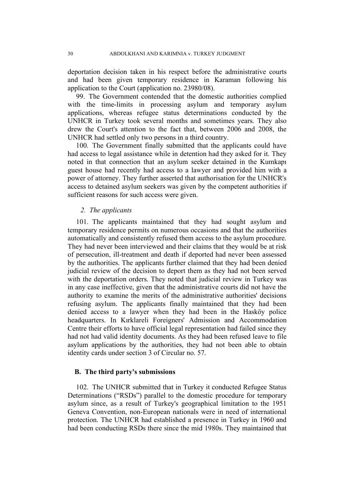deportation decision taken in his respect before the administrative courts and had been given temporary residence in Karaman following his application to the Court (application no. 23980/08).

99. The Government contended that the domestic authorities complied with the time-limits in processing asylum and temporary asylum applications, whereas refugee status determinations conducted by the UNHCR in Turkey took several months and sometimes years. They also drew the Court's attention to the fact that, between 2006 and 2008, the UNHCR had settled only two persons in a third country.

100. The Government finally submitted that the applicants could have had access to legal assistance while in detention had they asked for it. They noted in that connection that an asylum seeker detained in the Kumkapı guest house had recently had access to a lawyer and provided him with a power of attorney. They further asserted that authorisation for the UNHCR's access to detained asylum seekers was given by the competent authorities if sufficient reasons for such access were given.

### *2. The applicants*

101. The applicants maintained that they had sought asylum and temporary residence permits on numerous occasions and that the authorities automatically and consistently refused them access to the asylum procedure. They had never been interviewed and their claims that they would be at risk of persecution, ill-treatment and death if deported had never been assessed by the authorities. The applicants further claimed that they had been denied judicial review of the decision to deport them as they had not been served with the deportation orders. They noted that judicial review in Turkey was in any case ineffective, given that the administrative courts did not have the authority to examine the merits of the administrative authorities' decisions refusing asylum. The applicants finally maintained that they had been denied access to a lawyer when they had been in the Hasköy police headquarters. In Kırklareli Foreigners' Admission and Accommodation Centre their efforts to have official legal representation had failed since they had not had valid identity documents. As they had been refused leave to file asylum applications by the authorities, they had not been able to obtain identity cards under section 3 of Circular no. 57.

### **B. The third party's submissions**

102. The UNHCR submitted that in Turkey it conducted Refugee Status Determinations ("RSDs") parallel to the domestic procedure for temporary asylum since, as a result of Turkey's geographical limitation to the 1951 Geneva Convention, non-European nationals were in need of international protection. The UNHCR had established a presence in Turkey in 1960 and had been conducting RSDs there since the mid 1980s. They maintained that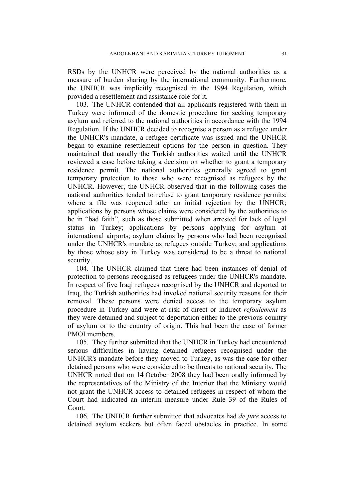RSDs by the UNHCR were perceived by the national authorities as a measure of burden sharing by the international community. Furthermore, the UNHCR was implicitly recognised in the 1994 Regulation, which provided a resettlement and assistance role for it.

103. The UNHCR contended that all applicants registered with them in Turkey were informed of the domestic procedure for seeking temporary asylum and referred to the national authorities in accordance with the 1994 Regulation. If the UNHCR decided to recognise a person as a refugee under the UNHCR's mandate, a refugee certificate was issued and the UNHCR began to examine resettlement options for the person in question. They maintained that usually the Turkish authorities waited until the UNHCR reviewed a case before taking a decision on whether to grant a temporary residence permit. The national authorities generally agreed to grant temporary protection to those who were recognised as refugees by the UNHCR. However, the UNHCR observed that in the following cases the national authorities tended to refuse to grant temporary residence permits: where a file was reopened after an initial rejection by the UNHCR; applications by persons whose claims were considered by the authorities to be in "bad faith", such as those submitted when arrested for lack of legal status in Turkey; applications by persons applying for asylum at international airports; asylum claims by persons who had been recognised under the UNHCR's mandate as refugees outside Turkey; and applications by those whose stay in Turkey was considered to be a threat to national security.

104. The UNHCR claimed that there had been instances of denial of protection to persons recognised as refugees under the UNHCR's mandate. In respect of five Iraqi refugees recognised by the UNHCR and deported to Iraq, the Turkish authorities had invoked national security reasons for their removal. These persons were denied access to the temporary asylum procedure in Turkey and were at risk of direct or indirect *refoulement* as they were detained and subject to deportation either to the previous country of asylum or to the country of origin. This had been the case of former PMOI members.

105. They further submitted that the UNHCR in Turkey had encountered serious difficulties in having detained refugees recognised under the UNHCR's mandate before they moved to Turkey, as was the case for other detained persons who were considered to be threats to national security. The UNHCR noted that on 14 October 2008 they had been orally informed by the representatives of the Ministry of the Interior that the Ministry would not grant the UNHCR access to detained refugees in respect of whom the Court had indicated an interim measure under Rule 39 of the Rules of Court.

106. The UNHCR further submitted that advocates had *de jure* access to detained asylum seekers but often faced obstacles in practice. In some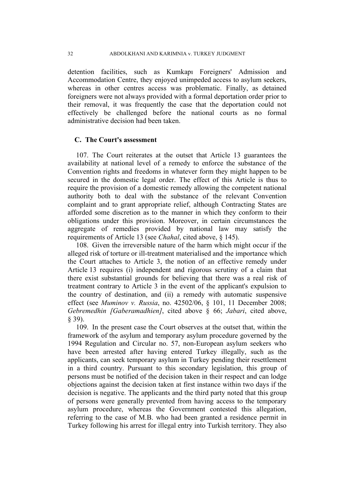detention facilities, such as Kumkapı Foreigners' Admission and Accommodation Centre, they enjoyed unimpeded access to asylum seekers, whereas in other centres access was problematic. Finally, as detained foreigners were not always provided with a formal deportation order prior to their removal, it was frequently the case that the deportation could not effectively be challenged before the national courts as no formal administrative decision had been taken.

# **C. The Court's assessment**

107. The Court reiterates at the outset that Article 13 guarantees the availability at national level of a remedy to enforce the substance of the Convention rights and freedoms in whatever form they might happen to be secured in the domestic legal order. The effect of this Article is thus to require the provision of a domestic remedy allowing the competent national authority both to deal with the substance of the relevant Convention complaint and to grant appropriate relief, although Contracting States are afforded some discretion as to the manner in which they conform to their obligations under this provision. Moreover, in certain circumstances the aggregate of remedies provided by national law may satisfy the requirements of Article 13 (see *Chahal*, cited above, § 145).

108. Given the irreversible nature of the harm which might occur if the alleged risk of torture or ill-treatment materialised and the importance which the Court attaches to Article 3, the notion of an effective remedy under Article 13 requires (i) independent and rigorous scrutiny of a claim that there exist substantial grounds for believing that there was a real risk of treatment contrary to Article 3 in the event of the applicant's expulsion to the country of destination, and (ii) a remedy with automatic suspensive effect (see *Muminov v. Russia*, no. 42502/06, § 101, 11 December 2008; *Gebremedhin [Gaberamadhien]*, cited above § 66; *Jabari*, cited above, § 39).

109. In the present case the Court observes at the outset that, within the framework of the asylum and temporary asylum procedure governed by the 1994 Regulation and Circular no. 57, non-European asylum seekers who have been arrested after having entered Turkey illegally, such as the applicants, can seek temporary asylum in Turkey pending their resettlement in a third country. Pursuant to this secondary legislation, this group of persons must be notified of the decision taken in their respect and can lodge objections against the decision taken at first instance within two days if the decision is negative. The applicants and the third party noted that this group of persons were generally prevented from having access to the temporary asylum procedure, whereas the Government contested this allegation, referring to the case of M.B. who had been granted a residence permit in Turkey following his arrest for illegal entry into Turkish territory. They also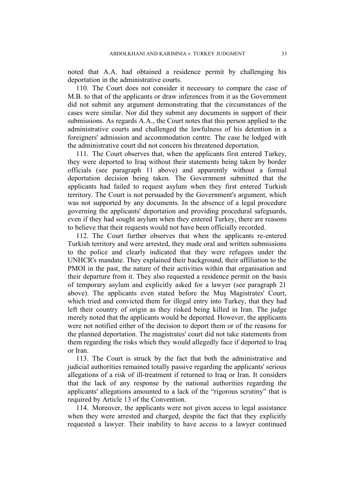noted that A.A. had obtained a residence permit by challenging his deportation in the administrative courts.

110. The Court does not consider it necessary to compare the case of M.B. to that of the applicants or draw inferences from it as the Government did not submit any argument demonstrating that the circumstances of the cases were similar. Nor did they submit any documents in support of their submissions. As regards A.A., the Court notes that this person applied to the administrative courts and challenged the lawfulness of his detention in a foreigners' admission and accommodation centre. The case he lodged with the administrative court did not concern his threatened deportation.

111. The Court observes that, when the applicants first entered Turkey, they were deported to Iraq without their statements being taken by border officials (see paragraph 11 above) and apparently without a formal deportation decision being taken. The Government submitted that the applicants had failed to request asylum when they first entered Turkish territory. The Court is not persuaded by the Government's argument, which was not supported by any documents. In the absence of a legal procedure governing the applicants' deportation and providing procedural safeguards, even if they had sought asylum when they entered Turkey, there are reasons to believe that their requests would not have been officially recorded.

112. The Court further observes that when the applicants re-entered Turkish territory and were arrested, they made oral and written submissions to the police and clearly indicated that they were refugees under the UNHCR's mandate. They explained their background, their affiliation to the PMOI in the past, the nature of their activities within that organisation and their departure from it. They also requested a residence permit on the basis of temporary asylum and explicitly asked for a lawyer (see paragraph 21 above). The applicants even stated before the Muş Magistrates' Court, which tried and convicted them for illegal entry into Turkey, that they had left their country of origin as they risked being killed in Iran. The judge merely noted that the applicants would be deported. However, the applicants were not notified either of the decision to deport them or of the reasons for the planned deportation. The magistrates' court did not take statements from them regarding the risks which they would allegedly face if deported to Iraq or Iran.

113. The Court is struck by the fact that both the administrative and judicial authorities remained totally passive regarding the applicants' serious allegations of a risk of ill-treatment if returned to Iraq or Iran. It considers that the lack of any response by the national authorities regarding the applicants' allegations amounted to a lack of the "rigorous scrutiny" that is required by Article 13 of the Convention.

114. Moreover, the applicants were not given access to legal assistance when they were arrested and charged, despite the fact that they explicitly requested a lawyer. Their inability to have access to a lawyer continued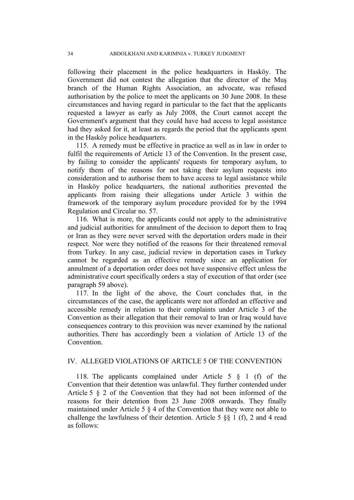following their placement in the police headquarters in Hasköy. The Government did not contest the allegation that the director of the Muş branch of the Human Rights Association, an advocate, was refused authorisation by the police to meet the applicants on 30 June 2008. In these circumstances and having regard in particular to the fact that the applicants requested a lawyer as early as July 2008, the Court cannot accept the Government's argument that they could have had access to legal assistance had they asked for it, at least as regards the period that the applicants spent in the Hasköy police headquarters.

115. A remedy must be effective in practice as well as in law in order to fulfil the requirements of Article 13 of the Convention. In the present case, by failing to consider the applicants' requests for temporary asylum, to notify them of the reasons for not taking their asylum requests into consideration and to authorise them to have access to legal assistance while in Hasköy police headquarters, the national authorities prevented the applicants from raising their allegations under Article 3 within the framework of the temporary asylum procedure provided for by the 1994 Regulation and Circular no. 57.

116. What is more, the applicants could not apply to the administrative and judicial authorities for annulment of the decision to deport them to Iraq or Iran as they were never served with the deportation orders made in their respect. Nor were they notified of the reasons for their threatened removal from Turkey. In any case, judicial review in deportation cases in Turkey cannot be regarded as an effective remedy since an application for annulment of a deportation order does not have suspensive effect unless the administrative court specifically orders a stay of execution of that order (see paragraph 59 above).

117. In the light of the above, the Court concludes that, in the circumstances of the case, the applicants were not afforded an effective and accessible remedy in relation to their complaints under Article 3 of the Convention as their allegation that their removal to Iran or Iraq would have consequences contrary to this provision was never examined by the national authorities. There has accordingly been a violation of Article 13 of the **Convention** 

# IV. ALLEGED VIOLATIONS OF ARTICLE 5 OF THE CONVENTION

118. The applicants complained under Article 5 § 1 (f) of the Convention that their detention was unlawful. They further contended under Article 5 § 2 of the Convention that they had not been informed of the reasons for their detention from 23 June 2008 onwards. They finally maintained under Article 5 § 4 of the Convention that they were not able to challenge the lawfulness of their detention. Article 5 §§ 1 (f), 2 and 4 read as follows: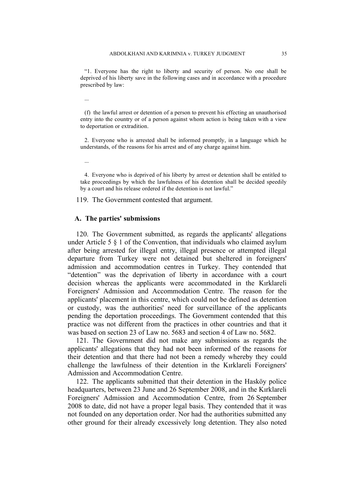"1. Everyone has the right to liberty and security of person. No one shall be deprived of his liberty save in the following cases and in accordance with a procedure prescribed by law:

...

(f) the lawful arrest or detention of a person to prevent his effecting an unauthorised entry into the country or of a person against whom action is being taken with a view to deportation or extradition.

2. Everyone who is arrested shall be informed promptly, in a language which he understands, of the reasons for his arrest and of any charge against him.

...

4. Everyone who is deprived of his liberty by arrest or detention shall be entitled to take proceedings by which the lawfulness of his detention shall be decided speedily by a court and his release ordered if the detention is not lawful."

119. The Government contested that argument.

### **A. The parties' submissions**

120. The Government submitted, as regards the applicants' allegations under Article 5 § 1 of the Convention, that individuals who claimed asylum after being arrested for illegal entry, illegal presence or attempted illegal departure from Turkey were not detained but sheltered in foreigners' admission and accommodation centres in Turkey. They contended that "detention" was the deprivation of liberty in accordance with a court decision whereas the applicants were accommodated in the Kırklareli Foreigners' Admission and Accommodation Centre. The reason for the applicants' placement in this centre, which could not be defined as detention or custody, was the authorities' need for surveillance of the applicants pending the deportation proceedings. The Government contended that this practice was not different from the practices in other countries and that it was based on section 23 of Law no. 5683 and section 4 of Law no. 5682.

121. The Government did not make any submissions as regards the applicants' allegations that they had not been informed of the reasons for their detention and that there had not been a remedy whereby they could challenge the lawfulness of their detention in the Kırklareli Foreigners' Admission and Accommodation Centre.

122. The applicants submitted that their detention in the Hasköy police headquarters, between 23 June and 26 September 2008, and in the Kırklareli Foreigners' Admission and Accommodation Centre, from 26 September 2008 to date, did not have a proper legal basis. They contended that it was not founded on any deportation order. Nor had the authorities submitted any other ground for their already excessively long detention. They also noted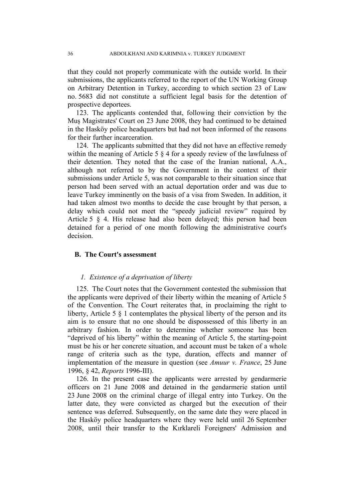that they could not properly communicate with the outside world. In their submissions, the applicants referred to the report of the UN Working Group on Arbitrary Detention in Turkey, according to which section 23 of Law no. 5683 did not constitute a sufficient legal basis for the detention of prospective deportees.

123. The applicants contended that, following their conviction by the Muş Magistrates' Court on 23 June 2008, they had continued to be detained in the Hasköy police headquarters but had not been informed of the reasons for their further incarceration.

124. The applicants submitted that they did not have an effective remedy within the meaning of Article 5  $\S$  4 for a speedy review of the lawfulness of their detention. They noted that the case of the Iranian national, A.A., although not referred to by the Government in the context of their submissions under Article 5, was not comparable to their situation since that person had been served with an actual deportation order and was due to leave Turkey imminently on the basis of a visa from Sweden. In addition, it had taken almost two months to decide the case brought by that person, a delay which could not meet the "speedy judicial review" required by Article 5 § 4. His release had also been delayed; this person had been detained for a period of one month following the administrative court's decision.

# **B. The Court's assessment**

### *1. Existence of a deprivation of liberty*

125. The Court notes that the Government contested the submission that the applicants were deprived of their liberty within the meaning of Article 5 of the Convention. The Court reiterates that, in proclaiming the right to liberty, Article 5 § 1 contemplates the physical liberty of the person and its aim is to ensure that no one should be dispossessed of this liberty in an arbitrary fashion. In order to determine whether someone has been "deprived of his liberty" within the meaning of Article 5, the starting-point must be his or her concrete situation, and account must be taken of a whole range of criteria such as the type, duration, effects and manner of implementation of the measure in question (see *Amuur v. France*, 25 June 1996, § 42, *Reports* 1996-III).

126. In the present case the applicants were arrested by gendarmerie officers on 21 June 2008 and detained in the gendarmerie station until 23 June 2008 on the criminal charge of illegal entry into Turkey. On the latter date, they were convicted as charged but the execution of their sentence was deferred. Subsequently, on the same date they were placed in the Hasköy police headquarters where they were held until 26 September 2008, until their transfer to the Kırklareli Foreigners' Admission and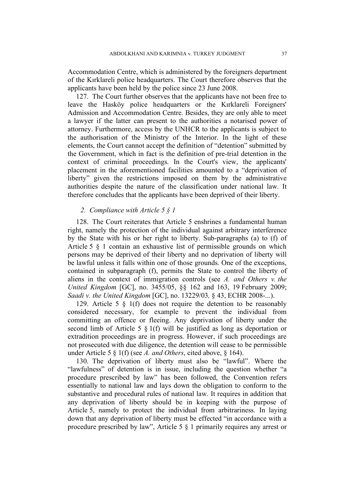Accommodation Centre, which is administered by the foreigners department of the Kırklareli police headquarters. The Court therefore observes that the applicants have been held by the police since 23 June 2008.

127. The Court further observes that the applicants have not been free to leave the Hasköy police headquarters or the Kırklareli Foreigners' Admission and Accommodation Centre. Besides, they are only able to meet a lawyer if the latter can present to the authorities a notarised power of attorney. Furthermore, access by the UNHCR to the applicants is subject to the authorisation of the Ministry of the Interior. In the light of these elements, the Court cannot accept the definition of "detention" submitted by the Government, which in fact is the definition of pre-trial detention in the context of criminal proceedings. In the Court's view, the applicants' placement in the aforementioned facilities amounted to a "deprivation of liberty" given the restrictions imposed on them by the administrative authorities despite the nature of the classification under national law. It therefore concludes that the applicants have been deprived of their liberty.

# *2. Compliance with Article 5 § 1*

128. The Court reiterates that Article 5 enshrines a fundamental human right, namely the protection of the individual against arbitrary interference by the State with his or her right to liberty. Sub-paragraphs (a) to (f) of Article 5 § 1 contain an exhaustive list of permissible grounds on which persons may be deprived of their liberty and no deprivation of liberty will be lawful unless it falls within one of those grounds. One of the exceptions, contained in subparagraph (f), permits the State to control the liberty of aliens in the context of immigration controls (see *A. and Others v. the United Kingdom* [GC], no. 3455/05, §§ 162 and 163, 19 February 2009; *Saadi v. the United Kingdom* [GC], no. 13229/03*,* § 43, ECHR 2008-...).

129. Article 5 § 1(f) does not require the detention to be reasonably considered necessary, for example to prevent the individual from committing an offence or fleeing. Any deprivation of liberty under the second limb of Article 5 § 1(f) will be justified as long as deportation or extradition proceedings are in progress. However, if such proceedings are not prosecuted with due diligence, the detention will cease to be permissible under Article 5 § 1(f) (see *A. and Others*, cited above, § 164).

130. The deprivation of liberty must also be "lawful". Where the "lawfulness" of detention is in issue, including the question whether "a procedure prescribed by law" has been followed, the Convention refers essentially to national law and lays down the obligation to conform to the substantive and procedural rules of national law. It requires in addition that any deprivation of liberty should be in keeping with the purpose of Article 5, namely to protect the individual from arbitrariness. In laying down that any deprivation of liberty must be effected "in accordance with a procedure prescribed by law", Article 5 § 1 primarily requires any arrest or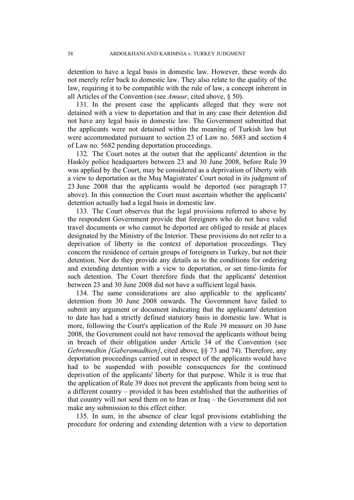detention to have a legal basis in domestic law. However, these words do not merely refer back to domestic law. They also relate to the quality of the law, requiring it to be compatible with the rule of law, a concept inherent in all Articles of the Convention (see *Amuur*, cited above, § 50).

131. In the present case the applicants alleged that they were not detained with a view to deportation and that in any case their detention did not have any legal basis in domestic law. The Government submitted that the applicants were not detained within the meaning of Turkish law but were accommodated pursuant to section 23 of Law no. 5683 and section 4 of Law no. 5682 pending deportation proceedings.

132. The Court notes at the outset that the applicants' detention in the Hasköy police headquarters between 23 and 30 June 2008, before Rule 39 was applied by the Court, may be considered as a deprivation of liberty with a view to deportation as the Muş Magistrates' Court noted in its judgment of 23 June 2008 that the applicants would be deported (see paragraph 17 above). In this connection the Court must ascertain whether the applicants' detention actually had a legal basis in domestic law.

133. The Court observes that the legal provisions referred to above by the respondent Government provide that foreigners who do not have valid travel documents or who cannot be deported are obliged to reside at places designated by the Ministry of the Interior. These provisions do not refer to a deprivation of liberty in the context of deportation proceedings. They concern the residence of certain groups of foreigners in Turkey, but not their detention. Nor do they provide any details as to the conditions for ordering and extending detention with a view to deportation, or set time-limits for such detention. The Court therefore finds that the applicants' detention between 23 and 30 June 2008 did not have a sufficient legal basis.

134. The same considerations are also applicable to the applicants' detention from 30 June 2008 onwards. The Government have failed to submit any argument or document indicating that the applicants' detention to date has had a strictly defined statutory basis in domestic law. What is more, following the Court's application of the Rule 39 measure on 30 June 2008, the Government could not have removed the applicants without being in breach of their obligation under Article 34 of the Convention (see *Gebremedhin [Gaberamadhien]*, cited above, §§ 73 and 74). Therefore, any deportation proceedings carried out in respect of the applicants would have had to be suspended with possible consequences for the continued deprivation of the applicants' liberty for that purpose. While it is true that the application of Rule 39 does not prevent the applicants from being sent to a different country – provided it has been established that the authorities of that country will not send them on to Iran or Iraq – the Government did not make any submission to this effect either.

135. In sum, in the absence of clear legal provisions establishing the procedure for ordering and extending detention with a view to deportation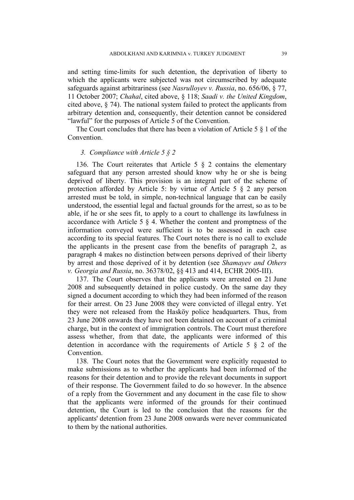and setting time-limits for such detention, the deprivation of liberty to which the applicants were subjected was not circumscribed by adequate safeguards against arbitrariness (see *Nasrulloyev v. Russia*, no. 656/06, § 77, 11 October 2007; *Chahal*, cited above, § 118; *Saadi v. the United Kingdom*, cited above, § 74). The national system failed to protect the applicants from arbitrary detention and, consequently, their detention cannot be considered "lawful" for the purposes of Article 5 of the Convention.

The Court concludes that there has been a violation of Article 5 § 1 of the **Convention** 

# *3. Compliance with Article 5 § 2*

136. The Court reiterates that Article  $5 \S 2$  contains the elementary safeguard that any person arrested should know why he or she is being deprived of liberty. This provision is an integral part of the scheme of protection afforded by Article 5: by virtue of Article 5 § 2 any person arrested must be told, in simple, non-technical language that can be easily understood, the essential legal and factual grounds for the arrest, so as to be able, if he or she sees fit, to apply to a court to challenge its lawfulness in accordance with Article 5 § 4. Whether the content and promptness of the information conveyed were sufficient is to be assessed in each case according to its special features. The Court notes there is no call to exclude the applicants in the present case from the benefits of paragraph 2, as paragraph 4 makes no distinction between persons deprived of their liberty by arrest and those deprived of it by detention (see *Shamayev and Others v. Georgia and Russia*, no. 36378/02, §§ 413 and 414, ECHR 2005-III).

137. The Court observes that the applicants were arrested on 21 June 2008 and subsequently detained in police custody. On the same day they signed a document according to which they had been informed of the reason for their arrest. On 23 June 2008 they were convicted of illegal entry. Yet they were not released from the Hasköy police headquarters. Thus, from 23 June 2008 onwards they have not been detained on account of a criminal charge, but in the context of immigration controls. The Court must therefore assess whether, from that date, the applicants were informed of this detention in accordance with the requirements of Article 5 § 2 of the Convention.

138. The Court notes that the Government were explicitly requested to make submissions as to whether the applicants had been informed of the reasons for their detention and to provide the relevant documents in support of their response. The Government failed to do so however. In the absence of a reply from the Government and any document in the case file to show that the applicants were informed of the grounds for their continued detention, the Court is led to the conclusion that the reasons for the applicants' detention from 23 June 2008 onwards were never communicated to them by the national authorities.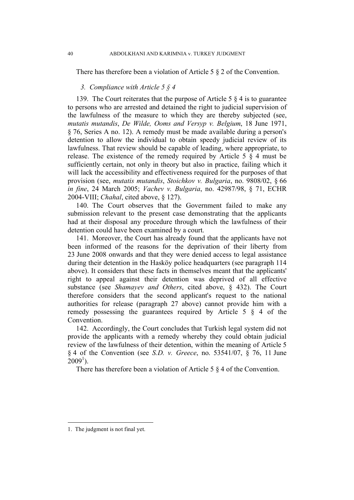There has therefore been a violation of Article 5 § 2 of the Convention.

# *3. Compliance with Article 5 § 4*

139. The Court reiterates that the purpose of Article 5  $\S$  4 is to guarantee to persons who are arrested and detained the right to judicial supervision of the lawfulness of the measure to which they are thereby subjected (see, *mutatis mutandis*, *De Wilde, Ooms and Versyp v. Belgium*, 18 June 1971, § 76, Series A no. 12). A remedy must be made available during a person's detention to allow the individual to obtain speedy judicial review of its lawfulness. That review should be capable of leading, where appropriate, to release. The existence of the remedy required by Article 5 § 4 must be sufficiently certain, not only in theory but also in practice, failing which it will lack the accessibility and effectiveness required for the purposes of that provision (see, *mutatis mutandis*, *Stoichkov v. Bulgaria*, no. 9808/02, § 66 *in fine*, 24 March 2005; *Vachev v. Bulgaria*, no. 42987/98, § 71, ECHR 2004-VIII; *Chahal*, cited above, § 127).

140. The Court observes that the Government failed to make any submission relevant to the present case demonstrating that the applicants had at their disposal any procedure through which the lawfulness of their detention could have been examined by a court.

141. Moreover, the Court has already found that the applicants have not been informed of the reasons for the deprivation of their liberty from 23 June 2008 onwards and that they were denied access to legal assistance during their detention in the Hasköy police headquarters (see paragraph 114 above). It considers that these facts in themselves meant that the applicants' right to appeal against their detention was deprived of all effective substance (see *Shamayev and Others*, cited above, § 432). The Court therefore considers that the second applicant's request to the national authorities for release (paragraph 27 above) cannot provide him with a remedy possessing the guarantees required by Article 5 § 4 of the Convention.

142. Accordingly, the Court concludes that Turkish legal system did not provide the applicants with a remedy whereby they could obtain judicial review of the lawfulness of their detention, within the meaning of Article 5 § 4 of the Convention (see *S.D. v. Greece*, no. 53541/07, § 76, 11 June  $2009^1$ ).

There has therefore been a violation of Article 5 § 4 of the Convention.

 <sup>1.</sup> The judgment is not final yet.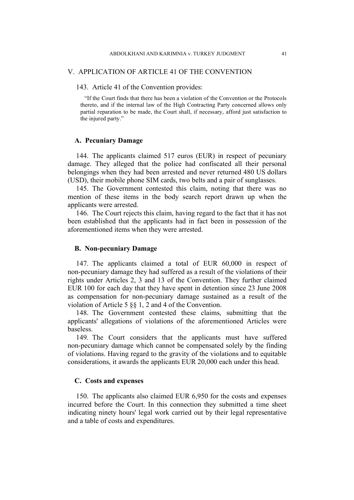### V. APPLICATION OF ARTICLE 41 OF THE CONVENTION

143. Article 41 of the Convention provides:

"If the Court finds that there has been a violation of the Convention or the Protocols thereto, and if the internal law of the High Contracting Party concerned allows only partial reparation to be made, the Court shall, if necessary, afford just satisfaction to the injured party."

# **A. Pecuniary Damage**

144. The applicants claimed 517 euros (EUR) in respect of pecuniary damage. They alleged that the police had confiscated all their personal belongings when they had been arrested and never returned 480 US dollars (USD), their mobile phone SIM cards, two belts and a pair of sunglasses.

145. The Government contested this claim, noting that there was no mention of these items in the body search report drawn up when the applicants were arrested.

146. The Court rejects this claim, having regard to the fact that it has not been established that the applicants had in fact been in possession of the aforementioned items when they were arrested.

### **B. Non-pecuniary Damage**

147. The applicants claimed a total of EUR 60,000 in respect of non-pecuniary damage they had suffered as a result of the violations of their rights under Articles 2, 3 and 13 of the Convention. They further claimed EUR 100 for each day that they have spent in detention since 23 June 2008 as compensation for non-pecuniary damage sustained as a result of the violation of Article 5 §§ 1, 2 and 4 of the Convention.

148. The Government contested these claims, submitting that the applicants' allegations of violations of the aforementioned Articles were baseless.

149. The Court considers that the applicants must have suffered non-pecuniary damage which cannot be compensated solely by the finding of violations. Having regard to the gravity of the violations and to equitable considerations, it awards the applicants EUR 20,000 each under this head.

# **C. Costs and expenses**

150. The applicants also claimed EUR 6,950 for the costs and expenses incurred before the Court. In this connection they submitted a time sheet indicating ninety hours' legal work carried out by their legal representative and a table of costs and expenditures.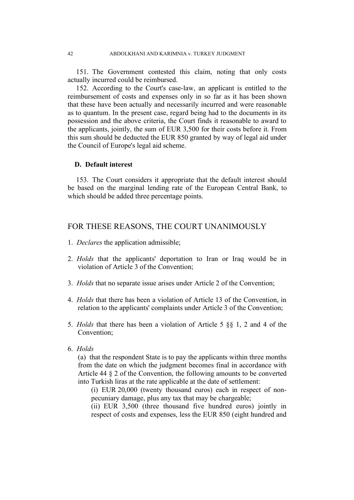151. The Government contested this claim, noting that only costs actually incurred could be reimbursed.

152. According to the Court's case-law, an applicant is entitled to the reimbursement of costs and expenses only in so far as it has been shown that these have been actually and necessarily incurred and were reasonable as to quantum. In the present case, regard being had to the documents in its possession and the above criteria, the Court finds it reasonable to award to the applicants, jointly, the sum of EUR 3,500 for their costs before it. From this sum should be deducted the EUR 850 granted by way of legal aid under the Council of Europe's legal aid scheme.

### **D. Default interest**

153. The Court considers it appropriate that the default interest should be based on the marginal lending rate of the European Central Bank, to which should be added three percentage points.

# FOR THESE REASONS, THE COURT UNANIMOUSLY

- 1. *Declares* the application admissible;
- 2. *Holds* that the applicants' deportation to Iran or Iraq would be in violation of Article 3 of the Convention;
- 3. *Holds* that no separate issue arises under Article 2 of the Convention;
- 4. *Holds* that there has been a violation of Article 13 of the Convention, in relation to the applicants' complaints under Article 3 of the Convention;
- 5. *Holds* that there has been a violation of Article 5 §§ 1, 2 and 4 of the Convention;
- 6. *Holds*

(a) that the respondent State is to pay the applicants within three months from the date on which the judgment becomes final in accordance with Article 44 § 2 of the Convention, the following amounts to be converted into Turkish liras at the rate applicable at the date of settlement:

(ii) EUR 3,500 (three thousand five hundred euros) jointly in respect of costs and expenses, less the EUR 850 (eight hundred and

<sup>(</sup>i) EUR 20,000 (twenty thousand euros) each in respect of nonpecuniary damage, plus any tax that may be chargeable;